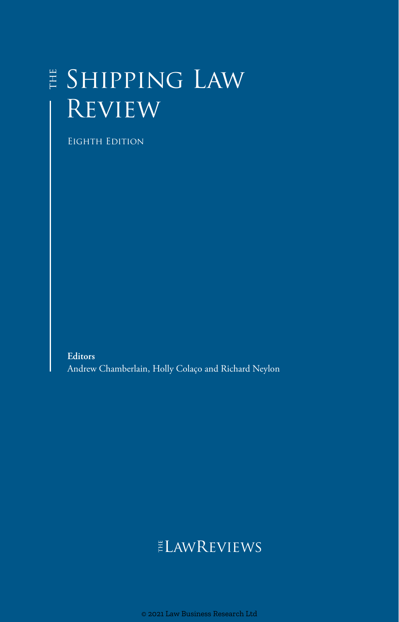## Shipping Law Review

Eighth Edition

**Editors** Andrew Chamberlain, Holly Colaço and Richard Neylon

## **ELAWREVIEWS**

© 2021 Law Business Research Ltd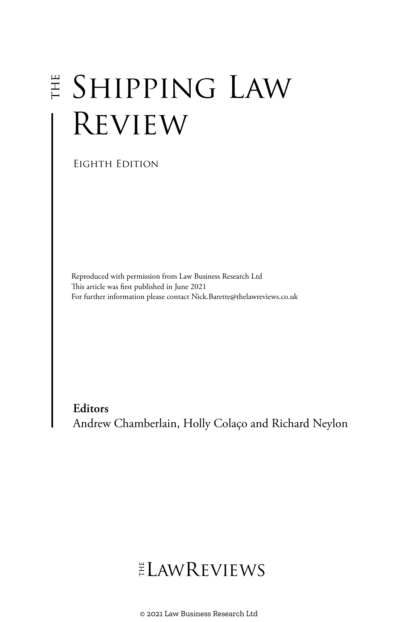# Shipping Law **REVIEW**

Eighth Edition

Reproduced with permission from Law Business Research Ltd This article was first published in June 2021 For further information please contact Nick.Barette@thelawreviews.co.uk

**Editors** Andrew Chamberlain, Holly Colaço and Richard Neylon

## ELAWREVIEWS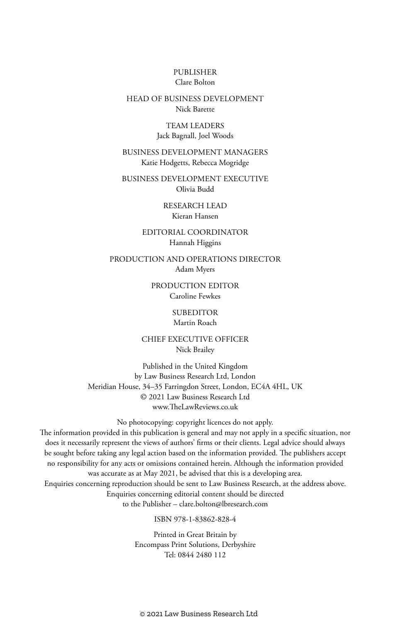#### PUBLISHER Clare Bolton

#### HEAD OF BUSINESS DEVELOPMENT Nick Barette

#### TEAM LEADERS Jack Bagnall, Joel Woods

#### BUSINESS DEVELOPMENT MANAGERS Katie Hodgetts, Rebecca Mogridge

BUSINESS DEVELOPMENT EXECUTIVE Olivia Budd

> RESEARCH LEAD Kieran Hansen

#### EDITORIAL COORDINATOR Hannah Higgins

PRODUCTION AND OPERATIONS DIRECTOR Adam Myers

> PRODUCTION EDITOR Caroline Fewkes

> > **SUBEDITOR** Martin Roach

CHIEF EXECUTIVE OFFICER Nick Brailey

Published in the United Kingdom by Law Business Research Ltd, London Meridian House, 34–35 Farringdon Street, London, EC4A 4HL, UK © 2021 Law Business Research Ltd www.TheLawReviews.co.uk

No photocopying: copyright licences do not apply. The information provided in this publication is general and may not apply in a specific situation, nor does it necessarily represent the views of authors' firms or their clients. Legal advice should always be sought before taking any legal action based on the information provided. The publishers accept no responsibility for any acts or omissions contained herein. Although the information provided was accurate as at May 2021, be advised that this is a developing area. Enquiries concerning reproduction should be sent to Law Business Research, at the address above. Enquiries concerning editorial content should be directed to the Publisher – clare.bolton@lbresearch.com

#### ISBN 978-1-83862-828-4

Printed in Great Britain by Encompass Print Solutions, Derbyshire Tel: 0844 2480 112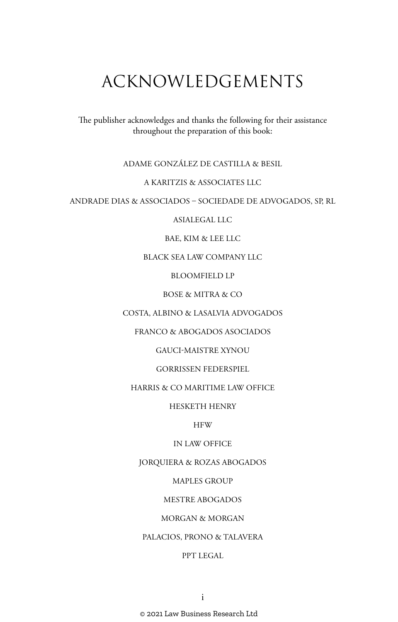## ACKNOWLEDGEMENTS

The publisher acknowledges and thanks the following for their assistance throughout the preparation of this book:

#### ADAME GONZÁLEZ DE CASTILLA & BESIL

#### A KARITZIS & ASSOCIATES LLC

#### ANDRADE DIAS & ASSOCIADOS – SOCIEDADE DE ADVOGADOS, SP, RL

#### ASIALEGAL LLC

#### BAE, KIM & LEE LLC

#### BLACK SEA LAW COMPANY LLC

#### BLOOMFIELD LP

#### BOSE & MITRA & CO

#### COSTA, ALBINO & LASALVIA ADVOGADOS

#### FRANCO & ABOGADOS ASOCIADOS

#### GAUCI-MAISTRE XYNOU

#### GORRISSEN FEDERSPIEL

#### HARRIS & CO MARITIME LAW OFFICE

#### HESKETH HENRY

#### **HFW**

#### IN LAW OFFICE

#### JORQUIERA & ROZAS ABOGADOS

#### MAPLES GROUP

#### MESTRE ABOGADOS

#### MORGAN & MORGAN

#### PALACIOS, PRONO & TALAVERA

#### PPT LEGAL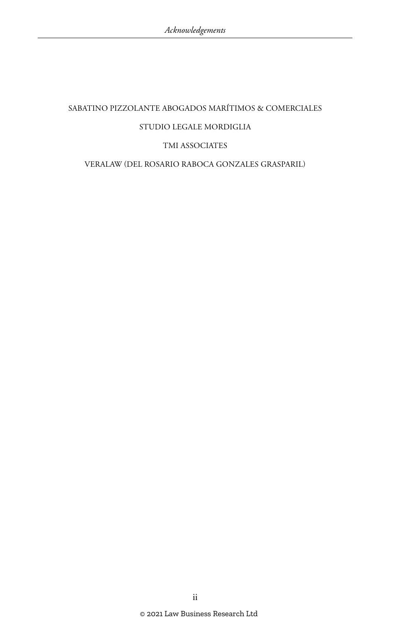## SABATINO PIZZOLANTE ABOGADOS MARÍTIMOS & COMERCIALES STUDIO LEGALE MORDIGLIA TMI ASSOCIATES VERALAW (DEL ROSARIO RABOCA GONZALES GRASPARIL)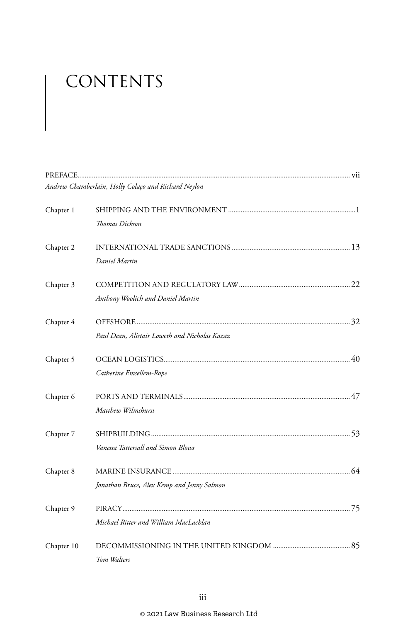# CONTENTS

|            | Andrew Chamberlain, Holly Colaço and Richard Neylon |  |
|------------|-----------------------------------------------------|--|
| Chapter 1  |                                                     |  |
|            | Thomas Dickson                                      |  |
| Chapter 2  |                                                     |  |
|            | Daniel Martin                                       |  |
| Chapter 3  |                                                     |  |
|            | Anthony Woolich and Daniel Martin                   |  |
| Chapter 4  |                                                     |  |
|            | Paul Dean, Alistair Loweth and Nicholas Kazaz       |  |
| Chapter 5  |                                                     |  |
|            | Catherine Emsellem-Rope                             |  |
| Chapter 6  |                                                     |  |
|            | Matthew Wilmshurst                                  |  |
| Chapter 7  |                                                     |  |
|            | Vanessa Tattersall and Simon Blows                  |  |
| Chapter 8  |                                                     |  |
|            | Jonathan Bruce, Alex Kemp and Jenny Salmon          |  |
| Chapter 9  |                                                     |  |
|            | Michael Ritter and William MacLachlan               |  |
| Chapter 10 |                                                     |  |
|            | Tom Walters                                         |  |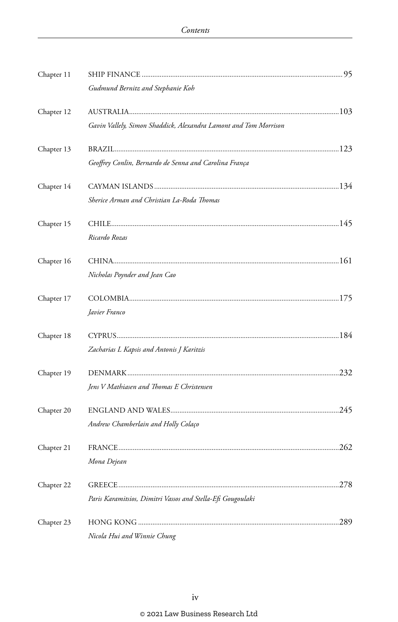| Chapter 11 |                                                                  |      |
|------------|------------------------------------------------------------------|------|
|            | Gudmund Bernitz and Stephanie Koh                                |      |
| Chapter 12 |                                                                  |      |
|            | Gavin Vallely, Simon Shaddick, Alexandra Lamont and Tom Morrison |      |
| Chapter 13 |                                                                  |      |
|            | Geoffrey Conlin, Bernardo de Senna and Carolina França           |      |
| Chapter 14 |                                                                  |      |
|            | Sherice Arman and Christian La-Roda Thomas                       |      |
| Chapter 15 |                                                                  |      |
|            | Ricardo Rozas                                                    |      |
| Chapter 16 |                                                                  |      |
|            | Nicholas Poynder and Jean Cao                                    |      |
| Chapter 17 |                                                                  |      |
|            | Javier Franco                                                    |      |
| Chapter 18 |                                                                  |      |
|            | Zacharias L Kapsis and Antonis J Karitzis                        |      |
| Chapter 19 |                                                                  |      |
|            | Jens V Mathiasen and Thomas E Christensen                        |      |
| Chapter 20 |                                                                  |      |
|            | Andrew Chamberlain and Holly Colaço                              |      |
| Chapter 21 |                                                                  |      |
|            | Mona Dejean                                                      |      |
| Chapter 22 |                                                                  | .278 |
|            | Paris Karamitsios, Dimitri Vassos and Stella-Efi Gougoulaki      |      |
| Chapter 23 |                                                                  | .289 |
|            | Nicola Hui and Winnie Chung                                      |      |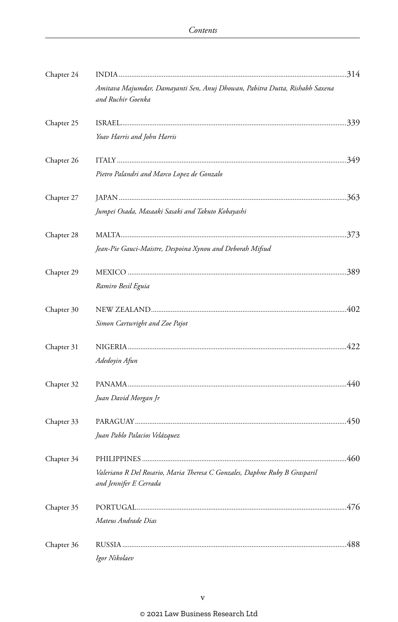| Chapter 24 |                                                                                                      |  |
|------------|------------------------------------------------------------------------------------------------------|--|
|            | Amitava Majumdar, Damayanti Sen, Anuj Dhowan, Pabitra Dutta, Rishabh Saxena<br>and Ruchir Goenka     |  |
| Chapter 25 |                                                                                                      |  |
|            | Yoav Harris and John Harris                                                                          |  |
| Chapter 26 |                                                                                                      |  |
|            | Pietro Palandri and Marco Lopez de Gonzalo                                                           |  |
| Chapter 27 |                                                                                                      |  |
|            | Jumpei Osada, Masaaki Sasaki and Takuto Kobayashi                                                    |  |
| Chapter 28 |                                                                                                      |  |
|            | Jean-Pie Gauci-Maistre, Despoina Xynou and Deborah Mifsud                                            |  |
| Chapter 29 |                                                                                                      |  |
|            | Ramiro Besil Eguia                                                                                   |  |
| Chapter 30 |                                                                                                      |  |
|            | Simon Cartwright and Zoe Pajot                                                                       |  |
| Chapter 31 |                                                                                                      |  |
|            | Adedoyin Afun                                                                                        |  |
| Chapter 32 |                                                                                                      |  |
|            | Juan David Morgan Jr                                                                                 |  |
| Chapter 33 |                                                                                                      |  |
|            | Juan Pablo Palacios Velázquez                                                                        |  |
| Chapter 34 |                                                                                                      |  |
|            | Valeriano R Del Rosario, Maria Theresa C Gonzales, Daphne Ruby B Grasparil<br>and Jennifer E Cerrada |  |
| Chapter 35 |                                                                                                      |  |
|            | Mateus Andrade Dias                                                                                  |  |
| Chapter 36 |                                                                                                      |  |
|            | Igor Nikolaev                                                                                        |  |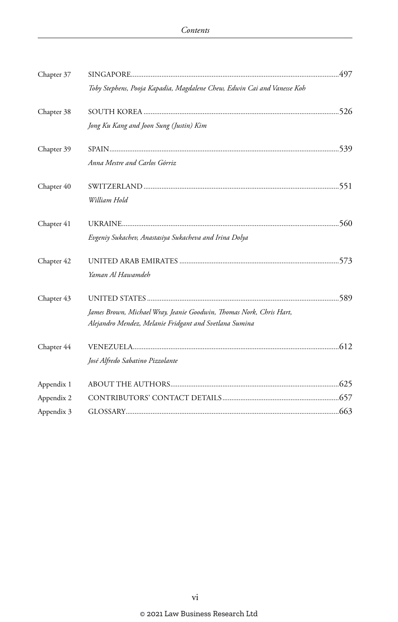| Chapter 37 |                                                                         |  |
|------------|-------------------------------------------------------------------------|--|
|            | Toby Stephens, Pooja Kapadia, Magdalene Chew, Edwin Cai and Vanesse Koh |  |
| Chapter 38 |                                                                         |  |
|            | Jong Ku Kang and Joon Sung (Justin) Kim                                 |  |
| Chapter 39 |                                                                         |  |
|            | Anna Mestre and Carlos Górriz                                           |  |
| Chapter 40 |                                                                         |  |
|            | William Hold                                                            |  |
| Chapter 41 |                                                                         |  |
|            | Evgeniy Sukachev, Anastasiya Sukacheva and Irina Dolya                  |  |
| Chapter 42 |                                                                         |  |
|            | Yaman Al Hawamdeh                                                       |  |
| Chapter 43 |                                                                         |  |
|            | James Brown, Michael Wray, Jeanie Goodwin, Thomas Nork, Chris Hart,     |  |
|            | Alejandro Mendez, Melanie Fridgant and Svetlana Sumina                  |  |
| Chapter 44 |                                                                         |  |
|            | José Alfredo Sabatino Pizzolante                                        |  |
| Appendix 1 |                                                                         |  |
| Appendix 2 |                                                                         |  |
| Appendix 3 |                                                                         |  |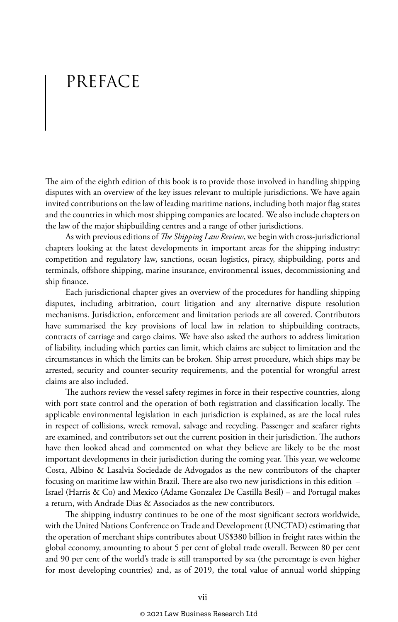## PREFACE

The aim of the eighth edition of this book is to provide those involved in handling shipping disputes with an overview of the key issues relevant to multiple jurisdictions. We have again invited contributions on the law of leading maritime nations, including both major flag states and the countries in which most shipping companies are located. We also include chapters on the law of the major shipbuilding centres and a range of other jurisdictions.

As with previous editions of *The Shipping Law Review*, we begin with cross-jurisdictional chapters looking at the latest developments in important areas for the shipping industry: competition and regulatory law, sanctions, ocean logistics, piracy, shipbuilding, ports and terminals, offshore shipping, marine insurance, environmental issues, decommissioning and ship finance.

Each jurisdictional chapter gives an overview of the procedures for handling shipping disputes, including arbitration, court litigation and any alternative dispute resolution mechanisms. Jurisdiction, enforcement and limitation periods are all covered. Contributors have summarised the key provisions of local law in relation to shipbuilding contracts, contracts of carriage and cargo claims. We have also asked the authors to address limitation of liability, including which parties can limit, which claims are subject to limitation and the circumstances in which the limits can be broken. Ship arrest procedure, which ships may be arrested, security and counter-security requirements, and the potential for wrongful arrest claims are also included.

The authors review the vessel safety regimes in force in their respective countries, along with port state control and the operation of both registration and classification locally. The applicable environmental legislation in each jurisdiction is explained, as are the local rules in respect of collisions, wreck removal, salvage and recycling. Passenger and seafarer rights are examined, and contributors set out the current position in their jurisdiction. The authors have then looked ahead and commented on what they believe are likely to be the most important developments in their jurisdiction during the coming year. This year, we welcome Costa, Albino & Lasalvia Sociedade de Advogados as the new contributors of the chapter focusing on maritime law within Brazil. There are also two new jurisdictions in this edition – Israel (Harris & Co) and Mexico (Adame Gonzalez De Castilla Besil) – and Portugal makes a return, with Andrade Dias & Associados as the new contributors.

The shipping industry continues to be one of the most significant sectors worldwide, with the United Nations Conference on Trade and Development (UNCTAD) estimating that the operation of merchant ships contributes about US\$380 billion in freight rates within the global economy, amounting to about 5 per cent of global trade overall. Between 80 per cent and 90 per cent of the world's trade is still transported by sea (the percentage is even higher for most developing countries) and, as of 2019, the total value of annual world shipping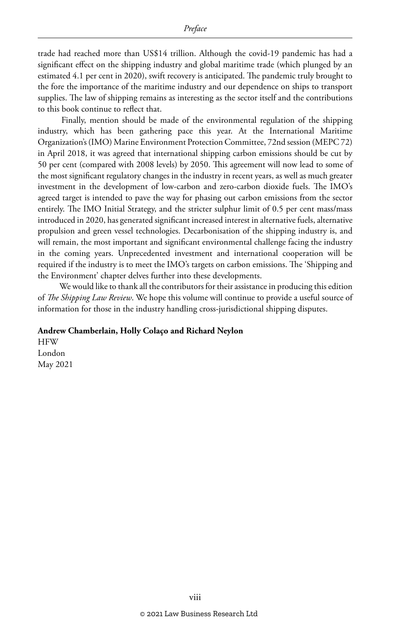trade had reached more than US\$14 trillion. Although the covid-19 pandemic has had a significant effect on the shipping industry and global maritime trade (which plunged by an estimated 4.1 per cent in 2020), swift recovery is anticipated. The pandemic truly brought to the fore the importance of the maritime industry and our dependence on ships to transport supplies. The law of shipping remains as interesting as the sector itself and the contributions to this book continue to reflect that.

 Finally, mention should be made of the environmental regulation of the shipping industry, which has been gathering pace this year. At the International Maritime Organization's (IMO) Marine Environment Protection Committee, 72nd session (MEPC 72) in April 2018, it was agreed that international shipping carbon emissions should be cut by 50 per cent (compared with 2008 levels) by 2050. This agreement will now lead to some of the most significant regulatory changes in the industry in recent years, as well as much greater investment in the development of low-carbon and zero-carbon dioxide fuels. The IMO's agreed target is intended to pave the way for phasing out carbon emissions from the sector entirely. The IMO Initial Strategy, and the stricter sulphur limit of 0.5 per cent mass/mass introduced in 2020, has generated significant increased interest in alternative fuels, alternative propulsion and green vessel technologies. Decarbonisation of the shipping industry is, and will remain, the most important and significant environmental challenge facing the industry in the coming years. Unprecedented investment and international cooperation will be required if the industry is to meet the IMO's targets on carbon emissions. The 'Shipping and the Environment' chapter delves further into these developments.

 We would like to thank all the contributors for their assistance in producing this edition of *The Shipping Law Review*. We hope this volume will continue to provide a useful source of information for those in the industry handling cross-jurisdictional shipping disputes.

#### **Andrew Chamberlain, Holly Colaço and Richard Neylon**

**HFW** London May 2021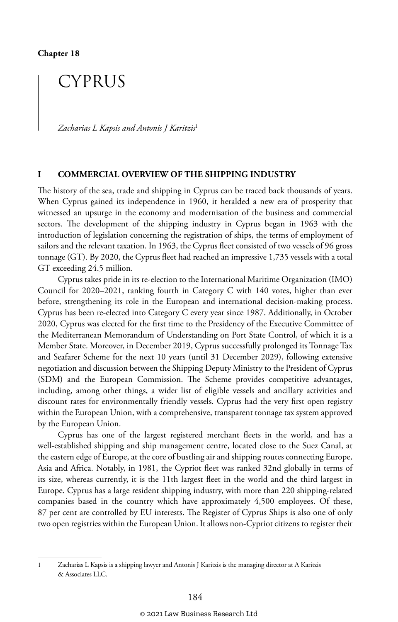## CYPRUS

*Zacharias L Kapsis and Antonis J Karitzis*<sup>1</sup>

#### **I COMMERCIAL OVERVIEW OF THE SHIPPING INDUSTRY**

The history of the sea, trade and shipping in Cyprus can be traced back thousands of years. When Cyprus gained its independence in 1960, it heralded a new era of prosperity that witnessed an upsurge in the economy and modernisation of the business and commercial sectors. The development of the shipping industry in Cyprus began in 1963 with the introduction of legislation concerning the registration of ships, the terms of employment of sailors and the relevant taxation. In 1963, the Cyprus fleet consisted of two vessels of 96 gross tonnage (GT). By 2020, the Cyprus fleet had reached an impressive 1,735 vessels with a total GT exceeding 24.5 million.

Cyprus takes pride in its re-election to the International Maritime Organization (IMO) Council for 2020–2021, ranking fourth in Category C with 140 votes, higher than ever before, strengthening its role in the European and international decision-making process. Cyprus has been re-elected into Category C every year since 1987. Additionally, in October 2020, Cyprus was elected for the first time to the Presidency of the Executive Committee of the Mediterranean Memorandum of Understanding on Port State Control, of which it is a Member State. Moreover, in December 2019, Cyprus successfully prolonged its Tonnage Tax and Seafarer Scheme for the next 10 years (until 31 December 2029), following extensive negotiation and discussion between the Shipping Deputy Ministry to the President of Cyprus (SDM) and the European Commission. The Scheme provides competitive advantages, including, among other things, a wider list of eligible vessels and ancillary activities and discount rates for environmentally friendly vessels. Cyprus had the very first open registry within the European Union, with a comprehensive, transparent tonnage tax system approved by the European Union.

Cyprus has one of the largest registered merchant fleets in the world, and has a well-established shipping and ship management centre, located close to the Suez Canal, at the eastern edge of Europe, at the core of bustling air and shipping routes connecting Europe, Asia and Africa. Notably, in 1981, the Cypriot fleet was ranked 32nd globally in terms of its size, whereas currently, it is the 11th largest fleet in the world and the third largest in Europe. Cyprus has a large resident shipping industry, with more than 220 shipping-related companies based in the country which have approximately 4,500 employees. Of these, 87 per cent are controlled by EU interests. The Register of Cyprus Ships is also one of only two open registries within the European Union. It allows non-Cypriot citizens to register their

<sup>1</sup> Zacharias L Kapsis is a shipping lawyer and Antonis J Karitzis is the managing director at A Karitzis & Associates LLC.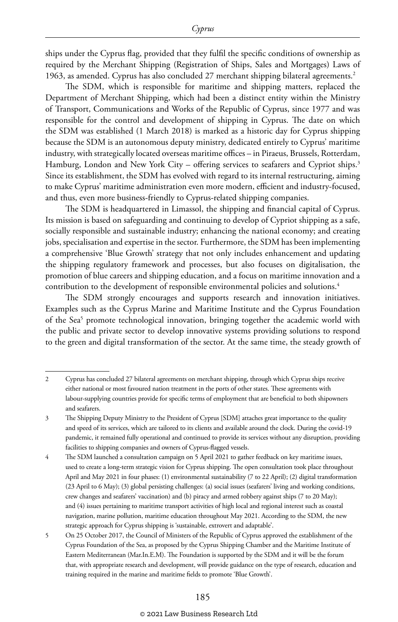ships under the Cyprus flag, provided that they fulfil the specific conditions of ownership as required by the Merchant Shipping (Registration of Ships, Sales and Mortgages) Laws of 1963, as amended. Cyprus has also concluded 27 merchant shipping bilateral agreements.2

The SDM, which is responsible for maritime and shipping matters, replaced the Department of Merchant Shipping, which had been a distinct entity within the Ministry of Transport, Communications and Works of the Republic of Cyprus, since 1977 and was responsible for the control and development of shipping in Cyprus. The date on which the SDM was established (1 March 2018) is marked as a historic day for Cyprus shipping because the SDM is an autonomous deputy ministry, dedicated entirely to Cyprus' maritime industry, with strategically located overseas maritime offices – in Piraeus, Brussels, Rotterdam, Hamburg, London and New York City – offering services to seafarers and Cypriot ships.<sup>3</sup> Since its establishment, the SDM has evolved with regard to its internal restructuring, aiming to make Cyprus' maritime administration even more modern, efficient and industry-focused, and thus, even more business-friendly to Cyprus-related shipping companies.

The SDM is headquartered in Limassol, the shipping and financial capital of Cyprus. Its mission is based on safeguarding and continuing to develop of Cypriot shipping as a safe, socially responsible and sustainable industry; enhancing the national economy; and creating jobs, specialisation and expertise in the sector. Furthermore, the SDM has been implementing a comprehensive 'Blue Growth' strategy that not only includes enhancement and updating the shipping regulatory framework and processes, but also focuses on digitalisation, the promotion of blue careers and shipping education, and a focus on maritime innovation and a contribution to the development of responsible environmental policies and solutions.<sup>4</sup>

The SDM strongly encourages and supports research and innovation initiatives. Examples such as the Cyprus Marine and Maritime Institute and the Cyprus Foundation of the Sea<sup>5</sup> promote technological innovation, bringing together the academic world with the public and private sector to develop innovative systems providing solutions to respond to the green and digital transformation of the sector. At the same time, the steady growth of

<sup>2</sup> Cyprus has concluded 27 bilateral agreements on merchant shipping, through which Cyprus ships receive either national or most favoured nation treatment in the ports of other states. These agreements with labour-supplying countries provide for specific terms of employment that are beneficial to both shipowners and seafarers.

<sup>3</sup> The Shipping Deputy Ministry to the President of Cyprus [SDM] attaches great importance to the quality and speed of its services, which are tailored to its clients and available around the clock. During the covid-19 pandemic, it remained fully operational and continued to provide its services without any disruption, providing facilities to shipping companies and owners of Cyprus-flagged vessels.

<sup>4</sup> The SDM launched a consultation campaign on 5 April 2021 to gather feedback on key maritime issues, used to create a long-term strategic vision for Cyprus shipping. The open consultation took place throughout April and May 2021 in four phases: (1) environmental sustainability (7 to 22 April); (2) digital transformation (23 April to 6 May); (3) global persisting challenges: (a) social issues (seafarers' living and working conditions, crew changes and seafarers' vaccination) and (b) piracy and armed robbery against ships (7 to 20 May); and (4) issues pertaining to maritime transport activities of high local and regional interest such as coastal navigation, marine pollution, maritime education throughout May 2021. According to the SDM, the new strategic approach for Cyprus shipping is 'sustainable, extrovert and adaptable'.

<sup>5</sup> On 25 October 2017, the Council of Ministers of the Republic of Cyprus approved the establishment of the Cyprus Foundation of the Sea, as proposed by the Cyprus Shipping Chamber and the Maritime Institute of Eastern Mediterranean (Mar.In.E.M). The Foundation is supported by the SDM and it will be the forum that, with appropriate research and development, will provide guidance on the type of research, education and training required in the marine and maritime fields to promote 'Blue Growth'.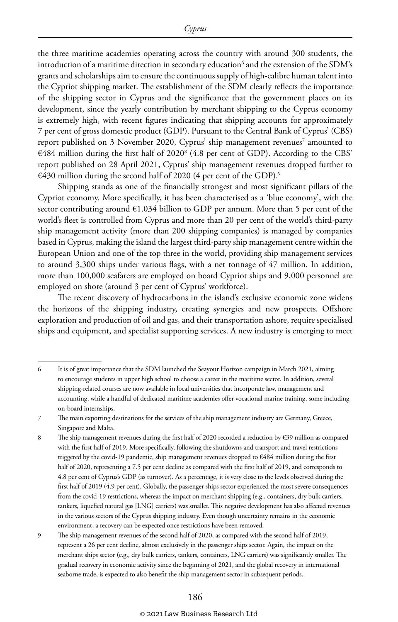the three maritime academies operating across the country with around 300 students, the introduction of a maritime direction in secondary education $^{\rm 6}$  and the extension of the SDM's grants and scholarships aim to ensure the continuous supply of high-calibre human talent into the Cypriot shipping market. The establishment of the SDM clearly reflects the importance of the shipping sector in Cyprus and the significance that the government places on its development, since the yearly contribution by merchant shipping to the Cyprus economy is extremely high, with recent figures indicating that shipping accounts for approximately 7 per cent of gross domestic product (GDP). Pursuant to the Central Bank of Cyprus' (CBS) report published on 3 November 2020, Cyprus' ship management revenues<sup>7</sup> amounted to  $€484$  million during the first half of 2020 $^8$  (4.8 per cent of GDP). According to the CBS' report published on 28 April 2021, Cyprus' ship management revenues dropped further to  $€430$  million during the second half of 2020 (4 per cent of the GDP).<sup>9</sup>

Shipping stands as one of the financially strongest and most significant pillars of the Cypriot economy. More specifically, it has been characterised as a 'blue economy', with the sector contributing around  $\epsilon$ 1.034 billion to GDP per annum. More than 5 per cent of the world's fleet is controlled from Cyprus and more than 20 per cent of the world's third-party ship management activity (more than 200 shipping companies) is managed by companies based in Cyprus, making the island the largest third-party ship management centre within the European Union and one of the top three in the world, providing ship management services to around 3,300 ships under various flags, with a net tonnage of 47 million. In addition, more than 100,000 seafarers are employed on board Cypriot ships and 9,000 personnel are employed on shore (around 3 per cent of Cyprus' workforce).

The recent discovery of hydrocarbons in the island's exclusive economic zone widens the horizons of the shipping industry, creating synergies and new prospects. Offshore exploration and production of oil and gas, and their transportation ashore, require specialised ships and equipment, and specialist supporting services. A new industry is emerging to meet

<sup>6</sup> It is of great importance that the SDM launched the Seayour Horizon campaign in March 2021, aiming to encourage students in upper high school to choose a career in the maritime sector. In addition, several shipping-related courses are now available in local universities that incorporate law, management and accounting, while a handful of dedicated maritime academies offer vocational marine training, some including on-board internships.

<sup>7</sup> The main exporting destinations for the services of the ship management industry are Germany, Greece, Singapore and Malta.

<sup>8</sup> The ship management revenues during the first half of 2020 recorded a reduction by €39 million as compared with the first half of 2019. More specifically, following the shutdowns and transport and travel restrictions triggered by the covid-19 pandemic, ship management revenues dropped to €484 million during the first half of 2020, representing a 7.5 per cent decline as compared with the first half of 2019, and corresponds to 4.8 per cent of Cyprus's GDP (as turnover). As a percentage, it is very close to the levels observed during the first half of 2019 (4.9 per cent). Globally, the passenger ships sector experienced the most severe consequences from the covid-19 restrictions, whereas the impact on merchant shipping (e.g., containers, dry bulk carriers, tankers, liquefied natural gas [LNG] carriers) was smaller. This negative development has also affected revenues in the various sectors of the Cyprus shipping industry. Even though uncertainty remains in the economic environment, a recovery can be expected once restrictions have been removed.

<sup>9</sup> The ship management revenues of the second half of 2020, as compared with the second half of 2019, represent a 26 per cent decline, almost exclusively in the passenger ships sector. Again, the impact on the merchant ships sector (e.g., dry bulk carriers, tankers, containers, LNG carriers) was significantly smaller. The gradual recovery in economic activity since the beginning of 2021, and the global recovery in international seaborne trade, is expected to also benefit the ship management sector in subsequent periods.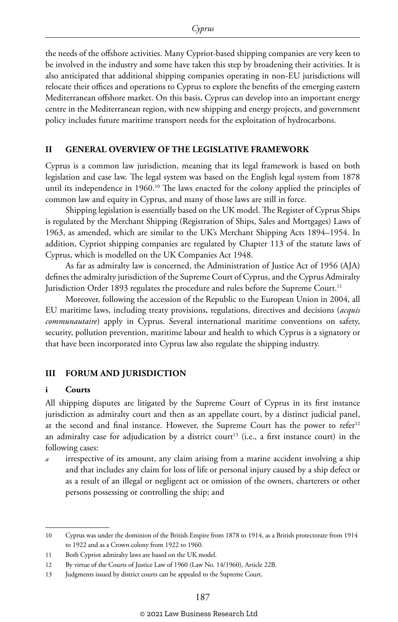the needs of the offshore activities. Many Cypriot-based shipping companies are very keen to be involved in the industry and some have taken this step by broadening their activities. It is also anticipated that additional shipping companies operating in non-EU jurisdictions will relocate their offices and operations to Cyprus to explore the benefits of the emerging eastern Mediterranean offshore market. On this basis, Cyprus can develop into an important energy centre in the Mediterranean region, with new shipping and energy projects, and government policy includes future maritime transport needs for the exploitation of hydrocarbons.

#### **II GENERAL OVERVIEW OF THE LEGISLATIVE FRAMEWORK**

Cyprus is a common law jurisdiction, meaning that its legal framework is based on both legislation and case law. The legal system was based on the English legal system from 1878 until its independence in 1960.<sup>10</sup> The laws enacted for the colony applied the principles of common law and equity in Cyprus, and many of those laws are still in force.

Shipping legislation is essentially based on the UK model. The Register of Cyprus Ships is regulated by the Merchant Shipping (Registration of Ships, Sales and Mortgages) Laws of 1963, as amended, which are similar to the UK's Merchant Shipping Acts 1894–1954. In addition, Cypriot shipping companies are regulated by Chapter 113 of the statute laws of Cyprus, which is modelled on the UK Companies Act 1948.

As far as admiralty law is concerned, the Administration of Justice Act of 1956 (AJA) defines the admiralty jurisdiction of the Supreme Court of Cyprus, and the Cyprus Admiralty Jurisdiction Order 1893 regulates the procedure and rules before the Supreme Court.<sup>11</sup>

Moreover, following the accession of the Republic to the European Union in 2004, all EU maritime laws, including treaty provisions, regulations, directives and decisions (*acquis communautaire*) apply in Cyprus. Several international maritime conventions on safety, security, pollution prevention, maritime labour and health to which Cyprus is a signatory or that have been incorporated into Cyprus law also regulate the shipping industry.

#### **III FORUM AND JURISDICTION**

#### **i Courts**

All shipping disputes are litigated by the Supreme Court of Cyprus in its first instance jurisdiction as admiralty court and then as an appellate court, by a distinct judicial panel, at the second and final instance. However, the Supreme Court has the power to refer<sup>12</sup> an admiralty case for adjudication by a district court<sup>13</sup> (i.e., a first instance court) in the following cases:

*a* irrespective of its amount, any claim arising from a marine accident involving a ship and that includes any claim for loss of life or personal injury caused by a ship defect or as a result of an illegal or negligent act or omission of the owners, charterers or other persons possessing or controlling the ship; and

<sup>10</sup> Cyprus was under the dominion of the British Empire from 1878 to 1914, as a British protectorate from 1914 to 1922 and as a Crown colony from 1922 to 1960.

<sup>11</sup> Both Cypriot admiralty laws are based on the UK model.

<sup>12</sup> By virtue of the Courts of Justice Law of 1960 (Law No. 14/1960), Article 22B.

<sup>13</sup> Judgments issued by district courts can be appealed to the Supreme Court.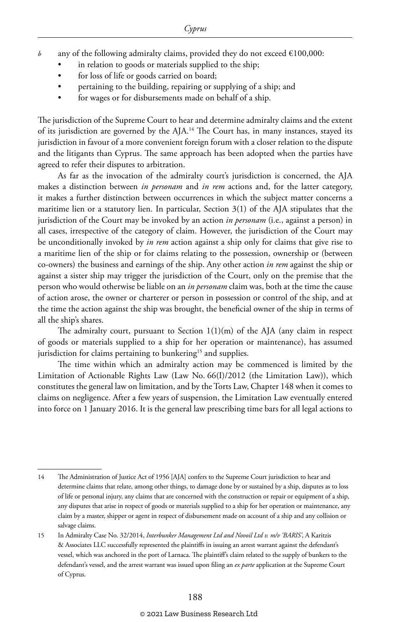- *b* any of the following admiralty claims, provided they do not exceed  $\epsilon$ 100,000:
	- in relation to goods or materials supplied to the ship;
	- for loss of life or goods carried on board;
	- pertaining to the building, repairing or supplying of a ship; and
	- for wages or for disbursements made on behalf of a ship.

The jurisdiction of the Supreme Court to hear and determine admiralty claims and the extent of its jurisdiction are governed by the AJA.<sup>14</sup> The Court has, in many instances, stayed its jurisdiction in favour of a more convenient foreign forum with a closer relation to the dispute and the litigants than Cyprus. The same approach has been adopted when the parties have agreed to refer their disputes to arbitration.

As far as the invocation of the admiralty court's jurisdiction is concerned, the AJA makes a distinction between *in personam* and *in rem* actions and, for the latter category, it makes a further distinction between occurrences in which the subject matter concerns a maritime lien or a statutory lien. In particular, Section 3(1) of the AJA stipulates that the jurisdiction of the Court may be invoked by an action *in personam* (i.e., against a person) in all cases, irrespective of the category of claim. However, the jurisdiction of the Court may be unconditionally invoked by *in rem* action against a ship only for claims that give rise to a maritime lien of the ship or for claims relating to the possession, ownership or (between co-owners) the business and earnings of the ship. Any other action *in rem* against the ship or against a sister ship may trigger the jurisdiction of the Court, only on the premise that the person who would otherwise be liable on an *in personam* claim was, both at the time the cause of action arose, the owner or charterer or person in possession or control of the ship, and at the time the action against the ship was brought, the beneficial owner of the ship in terms of all the ship's shares.

The admiralty court, pursuant to Section 1(1)(m) of the AJA (any claim in respect of goods or materials supplied to a ship for her operation or maintenance), has assumed jurisdiction for claims pertaining to bunkering<sup>15</sup> and supplies.

The time within which an admiralty action may be commenced is limited by the Limitation of Actionable Rights Law (Law No. 66(I)/2012 (the Limitation Law)), which constitutes the general law on limitation, and by the Torts Law, Chapter 148 when it comes to claims on negligence. After a few years of suspension, the Limitation Law eventually entered into force on 1 January 2016. It is the general law prescribing time bars for all legal actions to

<sup>14</sup> The Administration of Justice Act of 1956 [AJA] confers to the Supreme Court jurisdiction to hear and determine claims that relate, among other things, to damage done by or sustained by a ship, disputes as to loss of life or personal injury, any claims that are concerned with the construction or repair or equipment of a ship, any disputes that arise in respect of goods or materials supplied to a ship for her operation or maintenance, any claim by a master, shipper or agent in respect of disbursement made on account of a ship and any collision or salvage claims.

<sup>15</sup> In Admiralty Case No. 32/2014, *Interbunker Management Ltd and Novoil Ltd v. m/v 'BARIS'*, A Karitzis & Associates LLC successfully represented the plaintiffs in issuing an arrest warrant against the defendant's vessel, which was anchored in the port of Larnaca. The plaintiff's claim related to the supply of bunkers to the defendant's vessel, and the arrest warrant was issued upon filing an *ex parte* application at the Supreme Court of Cyprus.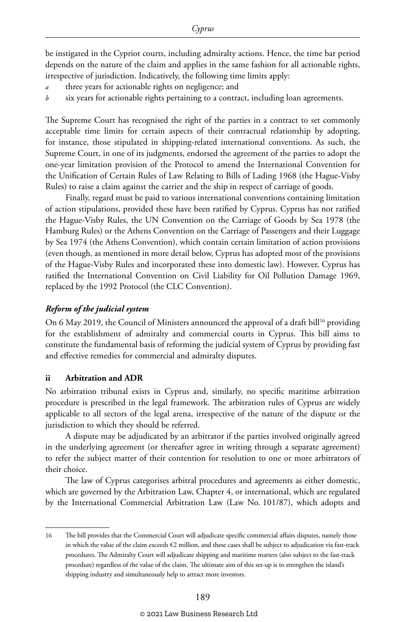be instigated in the Cypriot courts, including admiralty actions. Hence, the time bar period depends on the nature of the claim and applies in the same fashion for all actionable rights, irrespective of jurisdiction. Indicatively, the following time limits apply:

- three years for actionable rights on negligence; and
- six years for actionable rights pertaining to a contract, including loan agreements.

The Supreme Court has recognised the right of the parties in a contract to set commonly acceptable time limits for certain aspects of their contractual relationship by adopting, for instance, those stipulated in shipping-related international conventions. As such, the Supreme Court, in one of its judgments, endorsed the agreement of the parties to adopt the one-year limitation provision of the Protocol to amend the International Convention for the Unification of Certain Rules of Law Relating to Bills of Lading 1968 (the Hague-Visby Rules) to raise a claim against the carrier and the ship in respect of carriage of goods.

Finally, regard must be paid to various international conventions containing limitation of action stipulations, provided these have been ratified by Cyprus. Cyprus has not ratified the Hague-Visby Rules, the UN Convention on the Carriage of Goods by Sea 1978 (the Hamburg Rules) or the Athens Convention on the Carriage of Passengers and their Luggage by Sea 1974 (the Athens Convention), which contain certain limitation of action provisions (even though, as mentioned in more detail below, Cyprus has adopted most of the provisions of the Hague-Visby Rules and incorporated these into domestic law). However, Cyprus has ratified the International Convention on Civil Liability for Oil Pollution Damage 1969, replaced by the 1992 Protocol (the CLC Convention).

#### *Reform of the judicial system*

On 6 May 2019, the Council of Ministers announced the approval of a draft bill<sup>16</sup> providing for the establishment of admiralty and commercial courts in Cyprus. This bill aims to constitute the fundamental basis of reforming the judicial system of Cyprus by providing fast and effective remedies for commercial and admiralty disputes.

#### **ii Arbitration and ADR**

No arbitration tribunal exists in Cyprus and, similarly, no specific maritime arbitration procedure is prescribed in the legal framework. The arbitration rules of Cyprus are widely applicable to all sectors of the legal arena, irrespective of the nature of the dispute or the jurisdiction to which they should be referred.

A dispute may be adjudicated by an arbitrator if the parties involved originally agreed in the underlying agreement (or thereafter agree in writing through a separate agreement) to refer the subject matter of their contention for resolution to one or more arbitrators of their choice.

The law of Cyprus categorises arbitral procedures and agreements as either domestic, which are governed by the Arbitration Law, Chapter 4, or international, which are regulated by the International Commercial Arbitration Law (Law No. 101/87), which adopts and

<sup>16</sup> The bill provides that the Commercial Court will adjudicate specific commercial affairs disputes, namely those in which the value of the claim exceeds €2 million, and these cases shall be subject to adjudication via fast-track procedures. The Admiralty Court will adjudicate shipping and maritime matters (also subject to the fast-track procedure) regardless of the value of the claim. The ultimate aim of this set-up is to strengthen the island's shipping industry and simultaneously help to attract more investors.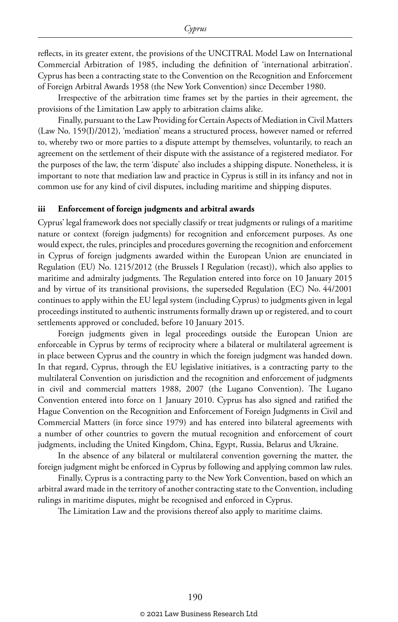reflects, in its greater extent, the provisions of the UNCITRAL Model Law on International Commercial Arbitration of 1985, including the definition of 'international arbitration'. Cyprus has been a contracting state to the Convention on the Recognition and Enforcement of Foreign Arbitral Awards 1958 (the New York Convention) since December 1980.

Irrespective of the arbitration time frames set by the parties in their agreement, the provisions of the Limitation Law apply to arbitration claims alike.

Finally, pursuant to the Law Providing for Certain Aspects of Mediation in Civil Matters (Law No. 159(I)/2012), 'mediation' means a structured process, however named or referred to, whereby two or more parties to a dispute attempt by themselves, voluntarily, to reach an agreement on the settlement of their dispute with the assistance of a registered mediator. For the purposes of the law, the term 'dispute' also includes a shipping dispute. Nonetheless, it is important to note that mediation law and practice in Cyprus is still in its infancy and not in common use for any kind of civil disputes, including maritime and shipping disputes.

#### **iii Enforcement of foreign judgments and arbitral awards**

Cyprus' legal framework does not specially classify or treat judgments or rulings of a maritime nature or context (foreign judgments) for recognition and enforcement purposes. As one would expect, the rules, principles and procedures governing the recognition and enforcement in Cyprus of foreign judgments awarded within the European Union are enunciated in Regulation (EU) No. 1215/2012 (the Brussels I Regulation (recast)), which also applies to maritime and admiralty judgments. The Regulation entered into force on 10 January 2015 and by virtue of its transitional provisions, the superseded Regulation (EC) No. 44/2001 continues to apply within the EU legal system (including Cyprus) to judgments given in legal proceedings instituted to authentic instruments formally drawn up or registered, and to court settlements approved or concluded, before 10 January 2015.

Foreign judgments given in legal proceedings outside the European Union are enforceable in Cyprus by terms of reciprocity where a bilateral or multilateral agreement is in place between Cyprus and the country in which the foreign judgment was handed down. In that regard, Cyprus, through the EU legislative initiatives, is a contracting party to the multilateral Convention on jurisdiction and the recognition and enforcement of judgments in civil and commercial matters 1988, 2007 (the Lugano Convention). The Lugano Convention entered into force on 1 January 2010. Cyprus has also signed and ratified the Hague Convention on the Recognition and Enforcement of Foreign Judgments in Civil and Commercial Matters (in force since 1979) and has entered into bilateral agreements with a number of other countries to govern the mutual recognition and enforcement of court judgments, including the United Kingdom, China, Egypt, Russia, Belarus and Ukraine.

In the absence of any bilateral or multilateral convention governing the matter, the foreign judgment might be enforced in Cyprus by following and applying common law rules.

Finally, Cyprus is a contracting party to the New York Convention, based on which an arbitral award made in the territory of another contracting state to the Convention, including rulings in maritime disputes, might be recognised and enforced in Cyprus.

The Limitation Law and the provisions thereof also apply to maritime claims.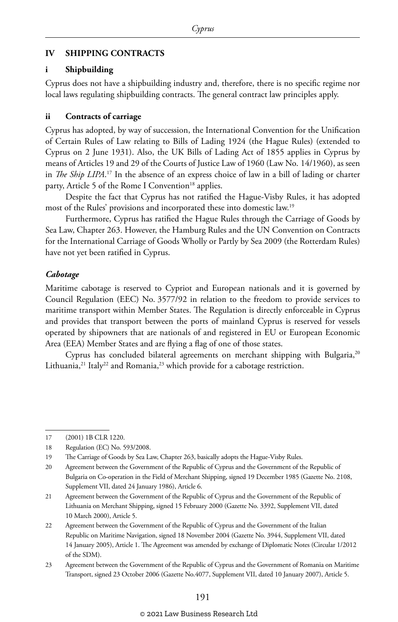#### **IV SHIPPING CONTRACTS**

#### **i Shipbuilding**

Cyprus does not have a shipbuilding industry and, therefore, there is no specific regime nor local laws regulating shipbuilding contracts. The general contract law principles apply.

#### **ii Contracts of carriage**

Cyprus has adopted, by way of succession, the International Convention for the Unification of Certain Rules of Law relating to Bills of Lading 1924 (the Hague Rules) (extended to Cyprus on 2 June 1931). Also, the UK Bills of Lading Act of 1855 applies in Cyprus by means of Articles 19 and 29 of the Courts of Justice Law of 1960 (Law No. 14/1960), as seen in *The Ship LIPA*. 17 In the absence of an express choice of law in a bill of lading or charter party, Article 5 of the Rome I Convention<sup>18</sup> applies.

Despite the fact that Cyprus has not ratified the Hague-Visby Rules, it has adopted most of the Rules' provisions and incorporated these into domestic law.19

Furthermore, Cyprus has ratified the Hague Rules through the Carriage of Goods by Sea Law, Chapter 263. However, the Hamburg Rules and the UN Convention on Contracts for the International Carriage of Goods Wholly or Partly by Sea 2009 (the Rotterdam Rules) have not yet been ratified in Cyprus.

#### *Cabotage*

Maritime cabotage is reserved to Cypriot and European nationals and it is governed by Council Regulation (EEC) No. 3577/92 in relation to the freedom to provide services to maritime transport within Member States. The Regulation is directly enforceable in Cyprus and provides that transport between the ports of mainland Cyprus is reserved for vessels operated by shipowners that are nationals of and registered in EU or European Economic Area (EEA) Member States and are flying a flag of one of those states.

Cyprus has concluded bilateral agreements on merchant shipping with Bulgaria,<sup>20</sup> Lithuania,<sup>21</sup> Italy<sup>22</sup> and Romania,<sup>23</sup> which provide for a cabotage restriction.

<sup>17</sup> (2001) 1B CLR 1220.

<sup>18</sup> Regulation (EC) No. 593/2008.

<sup>19</sup> The Carriage of Goods by Sea Law, Chapter 263, basically adopts the Hague-Visby Rules.

<sup>20</sup> Agreement between the Government of the Republic of Cyprus and the Government of the Republic of Bulgaria on Co-operation in the Field of Merchant Shipping, signed 19 December 1985 (Gazette No. 2108, Supplement VII, dated 24 January 1986), Article 6.

<sup>21</sup> Agreement between the Government of the Republic of Cyprus and the Government of the Republic of Lithuania on Merchant Shipping, signed 15 February 2000 (Gazette No. 3392, Supplement VII, dated 10 March 2000), Article 5.

<sup>22</sup> Agreement between the Government of the Republic of Cyprus and the Government of the Italian Republic on Maritime Navigation, signed 18 November 2004 (Gazette No. 3944, Supplement VII, dated 14 January 2005), Article 1. The Agreement was amended by exchange of Diplomatic Notes (Circular 1/2012 of the SDM).

<sup>23</sup> Agreement between the Government of the Republic of Cyprus and the Government of Romania on Maritime Transport, signed 23 October 2006 (Gazette No.4077, Supplement VII, dated 10 January 2007), Article 5.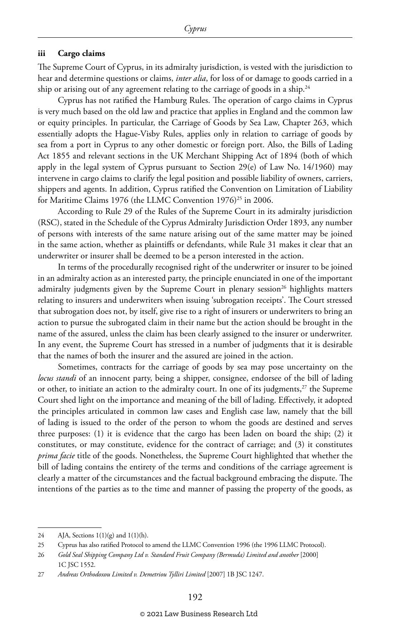#### **iii Cargo claims**

The Supreme Court of Cyprus, in its admiralty jurisdiction, is vested with the jurisdiction to hear and determine questions or claims, *inter alia*, for loss of or damage to goods carried in a ship or arising out of any agreement relating to the carriage of goods in a ship.<sup>24</sup>

Cyprus has not ratified the Hamburg Rules. The operation of cargo claims in Cyprus is very much based on the old law and practice that applies in England and the common law or equity principles. In particular, the Carriage of Goods by Sea Law, Chapter 263, which essentially adopts the Hague-Visby Rules, applies only in relation to carriage of goods by sea from a port in Cyprus to any other domestic or foreign port. Also, the Bills of Lading Act 1855 and relevant sections in the UK Merchant Shipping Act of 1894 (both of which apply in the legal system of Cyprus pursuant to Section 29(e) of Law No. 14/1960) may intervene in cargo claims to clarify the legal position and possible liability of owners, carriers, shippers and agents. In addition, Cyprus ratified the Convention on Limitation of Liability for Maritime Claims 1976 (the LLMC Convention 1976)<sup>25</sup> in 2006.

According to Rule 29 of the Rules of the Supreme Court in its admiralty jurisdiction (RSC), stated in the Schedule of the Cyprus Admiralty Jurisdiction Order 1893, any number of persons with interests of the same nature arising out of the same matter may be joined in the same action, whether as plaintiffs or defendants, while Rule 31 makes it clear that an underwriter or insurer shall be deemed to be a person interested in the action.

In terms of the procedurally recognised right of the underwriter or insurer to be joined in an admiralty action as an interested party, the principle enunciated in one of the important admiralty judgments given by the Supreme Court in plenary session<sup>26</sup> highlights matters relating to insurers and underwriters when issuing 'subrogation receipts'. The Court stressed that subrogation does not, by itself, give rise to a right of insurers or underwriters to bring an action to pursue the subrogated claim in their name but the action should be brought in the name of the assured, unless the claim has been clearly assigned to the insurer or underwriter. In any event, the Supreme Court has stressed in a number of judgments that it is desirable that the names of both the insurer and the assured are joined in the action.

Sometimes, contracts for the carriage of goods by sea may pose uncertainty on the *locus standi* of an innocent party, being a shipper, consignee, endorsee of the bill of lading or other, to initiate an action to the admiralty court. In one of its judgments,<sup>27</sup> the Supreme Court shed light on the importance and meaning of the bill of lading. Effectively, it adopted the principles articulated in common law cases and English case law, namely that the bill of lading is issued to the order of the person to whom the goods are destined and serves three purposes: (1) it is evidence that the cargo has been laden on board the ship; (2) it constitutes, or may constitute, evidence for the contract of carriage; and (3) it constitutes *prima facie* title of the goods. Nonetheless, the Supreme Court highlighted that whether the bill of lading contains the entirety of the terms and conditions of the carriage agreement is clearly a matter of the circumstances and the factual background embracing the dispute. The intentions of the parties as to the time and manner of passing the property of the goods, as

<sup>24</sup> AJA, Sections  $1(1)(g)$  and  $1(1)(h)$ .

<sup>25</sup> Cyprus has also ratified Protocol to amend the LLMC Convention 1996 (the 1996 LLMC Protocol).

<sup>26</sup> *Gold Seal Shipping Company Ltd v. Standard Fruit Company (Bermuda) Limited and another* [2000] 1C JSC 1552.

<sup>27</sup> *Andreas Orthodoxou Limited v. Demetriou Tylliri Limited* [2007] 1B JSC 1247.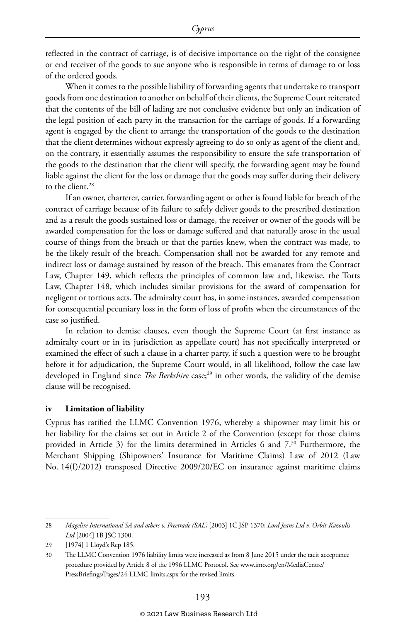reflected in the contract of carriage, is of decisive importance on the right of the consignee or end receiver of the goods to sue anyone who is responsible in terms of damage to or loss of the ordered goods.

When it comes to the possible liability of forwarding agents that undertake to transport goods from one destination to another on behalf of their clients, the Supreme Court reiterated that the contents of the bill of lading are not conclusive evidence but only an indication of the legal position of each party in the transaction for the carriage of goods. If a forwarding agent is engaged by the client to arrange the transportation of the goods to the destination that the client determines without expressly agreeing to do so only as agent of the client and, on the contrary, it essentially assumes the responsibility to ensure the safe transportation of the goods to the destination that the client will specify, the forwarding agent may be found liable against the client for the loss or damage that the goods may suffer during their delivery to the client.<sup>28</sup>

If an owner, charterer, carrier, forwarding agent or other is found liable for breach of the contract of carriage because of its failure to safely deliver goods to the prescribed destination and as a result the goods sustained loss or damage, the receiver or owner of the goods will be awarded compensation for the loss or damage suffered and that naturally arose in the usual course of things from the breach or that the parties knew, when the contract was made, to be the likely result of the breach. Compensation shall not be awarded for any remote and indirect loss or damage sustained by reason of the breach. This emanates from the Contract Law, Chapter 149, which reflects the principles of common law and, likewise, the Torts Law, Chapter 148, which includes similar provisions for the award of compensation for negligent or tortious acts. The admiralty court has, in some instances, awarded compensation for consequential pecuniary loss in the form of loss of profits when the circumstances of the case so justified.

In relation to demise clauses, even though the Supreme Court (at first instance as admiralty court or in its jurisdiction as appellate court) has not specifically interpreted or examined the effect of such a clause in a charter party, if such a question were to be brought before it for adjudication, the Supreme Court would, in all likelihood, follow the case law developed in England since *The Berkshire* case;<sup>29</sup> in other words, the validity of the demise clause will be recognised.

#### **iv Limitation of liability**

Cyprus has ratified the LLMC Convention 1976, whereby a shipowner may limit his or her liability for the claims set out in Article 2 of the Convention (except for those claims provided in Article 3) for the limits determined in Articles 6 and 7.30 Furthermore, the Merchant Shipping (Shipowners' Insurance for Maritime Claims) Law of 2012 (Law No. 14(I)/2012) transposed Directive 2009/20/EC on insurance against maritime claims

<sup>28</sup> *Magelire International SA and others v. Freetrade (SAL)* [2003] 1C JSP 1370; *Lord Jeans Ltd v. Orbit-Kazoulis Ltd* [2004] 1B JSC 1300.

<sup>29</sup> [1974] 1 Lloyd's Rep 185.

<sup>30</sup> The LLMC Convention 1976 liability limits were increased as from 8 June 2015 under the tacit acceptance procedure provided by Article 8 of the 1996 LLMC Protocol. See www.imo.org/en/MediaCentre/ PressBriefings/Pages/24-LLMC-limits.aspx for the revised limits.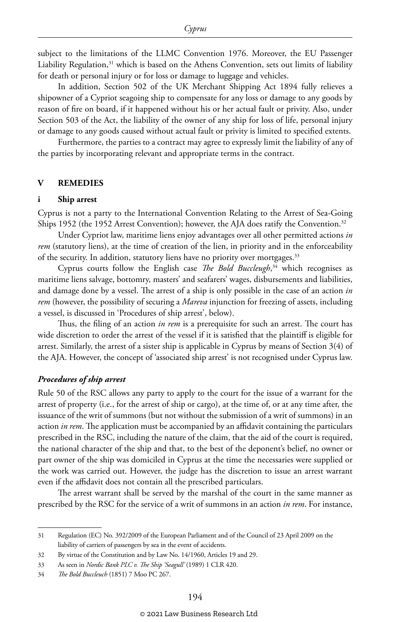subject to the limitations of the LLMC Convention 1976. Moreover, the EU Passenger Liability Regulation, $31$  which is based on the Athens Convention, sets out limits of liability for death or personal injury or for loss or damage to luggage and vehicles.

In addition, Section 502 of the UK Merchant Shipping Act 1894 fully relieves a shipowner of a Cypriot seagoing ship to compensate for any loss or damage to any goods by reason of fire on board, if it happened without his or her actual fault or privity. Also, under Section 503 of the Act, the liability of the owner of any ship for loss of life, personal injury or damage to any goods caused without actual fault or privity is limited to specified extents.

Furthermore, the parties to a contract may agree to expressly limit the liability of any of the parties by incorporating relevant and appropriate terms in the contract.

#### **V REMEDIES**

#### **i Ship arrest**

Cyprus is not a party to the International Convention Relating to the Arrest of Sea-Going Ships 1952 (the 1952 Arrest Convention); however, the AJA does ratify the Convention.<sup>32</sup>

Under Cypriot law, maritime liens enjoy advantages over all other permitted actions *in rem* (statutory liens), at the time of creation of the lien, in priority and in the enforceability of the security. In addition, statutory liens have no priority over mortgages.<sup>33</sup>

Cyprus courts follow the English case *The Bold Buccleugh*, 34 which recognises as maritime liens salvage, bottomry, masters' and seafarers' wages, disbursements and liabilities, and damage done by a vessel. The arrest of a ship is only possible in the case of an action *in rem* (however, the possibility of securing a *Mareva* injunction for freezing of assets, including a vessel, is discussed in 'Procedures of ship arrest', below).

Thus, the filing of an action *in rem* is a prerequisite for such an arrest. The court has wide discretion to order the arrest of the vessel if it is satisfied that the plaintiff is eligible for arrest. Similarly, the arrest of a sister ship is applicable in Cyprus by means of Section 3(4) of the AJA. However, the concept of 'associated ship arrest' is not recognised under Cyprus law.

#### *Procedures of ship arrest*

Rule 50 of the RSC allows any party to apply to the court for the issue of a warrant for the arrest of property (i.e., for the arrest of ship or cargo), at the time of, or at any time after, the issuance of the writ of summons (but not without the submission of a writ of summons) in an action *in rem*. The application must be accompanied by an affidavit containing the particulars prescribed in the RSC, including the nature of the claim, that the aid of the court is required, the national character of the ship and that, to the best of the deponent's belief, no owner or part owner of the ship was domiciled in Cyprus at the time the necessaries were supplied or the work was carried out. However, the judge has the discretion to issue an arrest warrant even if the affidavit does not contain all the prescribed particulars.

The arrest warrant shall be served by the marshal of the court in the same manner as prescribed by the RSC for the service of a writ of summons in an action *in rem*. For instance,

<sup>31</sup> Regulation (EC) No. 392/2009 of the European Parliament and of the Council of 23 April 2009 on the liability of carriers of passengers by sea in the event of accidents.

<sup>32</sup> By virtue of the Constitution and by Law No. 14/1960, Articles 19 and 29.

<sup>33</sup> As seen in *Nordic Bank PLC v. The Ship 'Seagull'* (1989) 1 CLR 420.

<sup>34</sup> *The Bold Buccleuch* (1851) 7 Moo PC 267.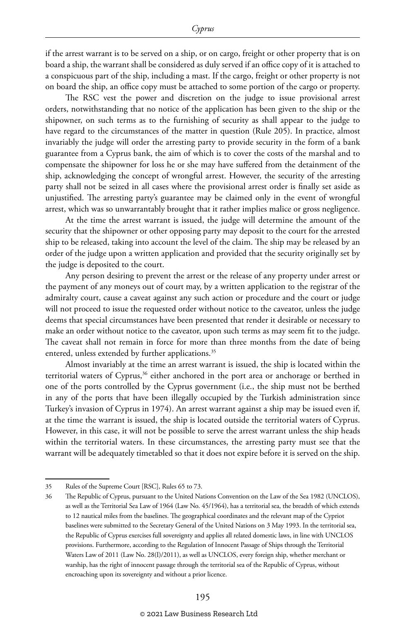if the arrest warrant is to be served on a ship, or on cargo, freight or other property that is on board a ship, the warrant shall be considered as duly served if an office copy of it is attached to a conspicuous part of the ship, including a mast. If the cargo, freight or other property is not on board the ship, an office copy must be attached to some portion of the cargo or property.

The RSC vest the power and discretion on the judge to issue provisional arrest orders, notwithstanding that no notice of the application has been given to the ship or the shipowner, on such terms as to the furnishing of security as shall appear to the judge to have regard to the circumstances of the matter in question (Rule 205). In practice, almost invariably the judge will order the arresting party to provide security in the form of a bank guarantee from a Cyprus bank, the aim of which is to cover the costs of the marshal and to compensate the shipowner for loss he or she may have suffered from the detainment of the ship, acknowledging the concept of wrongful arrest. However, the security of the arresting party shall not be seized in all cases where the provisional arrest order is finally set aside as unjustified. The arresting party's guarantee may be claimed only in the event of wrongful arrest, which was so unwarrantably brought that it rather implies malice or gross negligence.

At the time the arrest warrant is issued, the judge will determine the amount of the security that the shipowner or other opposing party may deposit to the court for the arrested ship to be released, taking into account the level of the claim. The ship may be released by an order of the judge upon a written application and provided that the security originally set by the judge is deposited to the court.

Any person desiring to prevent the arrest or the release of any property under arrest or the payment of any moneys out of court may, by a written application to the registrar of the admiralty court, cause a caveat against any such action or procedure and the court or judge will not proceed to issue the requested order without notice to the caveator, unless the judge deems that special circumstances have been presented that render it desirable or necessary to make an order without notice to the caveator, upon such terms as may seem fit to the judge. The caveat shall not remain in force for more than three months from the date of being entered, unless extended by further applications.<sup>35</sup>

Almost invariably at the time an arrest warrant is issued, the ship is located within the territorial waters of Cyprus,<sup>36</sup> either anchored in the port area or anchorage or berthed in one of the ports controlled by the Cyprus government (i.e., the ship must not be berthed in any of the ports that have been illegally occupied by the Turkish administration since Turkey's invasion of Cyprus in 1974). An arrest warrant against a ship may be issued even if, at the time the warrant is issued, the ship is located outside the territorial waters of Cyprus. However, in this case, it will not be possible to serve the arrest warrant unless the ship heads within the territorial waters. In these circumstances, the arresting party must see that the warrant will be adequately timetabled so that it does not expire before it is served on the ship.

<sup>35</sup> Rules of the Supreme Court [RSC], Rules 65 to 73.

<sup>36</sup> The Republic of Cyprus, pursuant to the United Nations Convention on the Law of the Sea 1982 (UNCLOS), as well as the Territorial Sea Law of 1964 (Law No. 45/1964), has a territorial sea, the breadth of which extends to 12 nautical miles from the baselines. The geographical coordinates and the relevant map of the Cypriot baselines were submitted to the Secretary General of the United Nations on 3 May 1993. In the territorial sea, the Republic of Cyprus exercises full sovereignty and applies all related domestic laws, in line with UNCLOS provisions. Furthermore, according to the Regulation of Innocent Passage of Ships through the Territorial Waters Law of 2011 (Law No. 28(I)/2011), as well as UNCLOS, every foreign ship, whether merchant or warship, has the right of innocent passage through the territorial sea of the Republic of Cyprus, without encroaching upon its sovereignty and without a prior licence.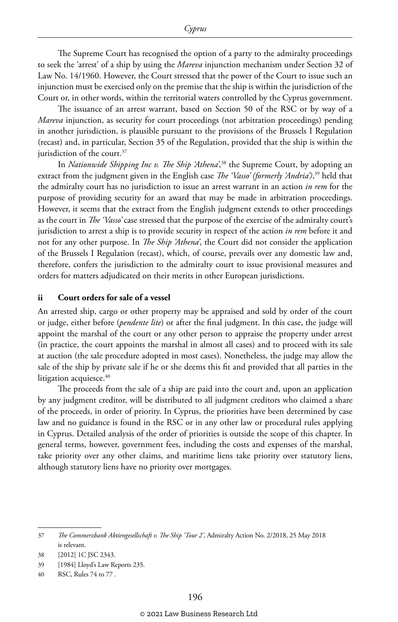The Supreme Court has recognised the option of a party to the admiralty proceedings to seek the 'arrest' of a ship by using the *Mareva* injunction mechanism under Section 32 of Law No. 14/1960. However, the Court stressed that the power of the Court to issue such an injunction must be exercised only on the premise that the ship is within the jurisdiction of the Court or, in other words, within the territorial waters controlled by the Cyprus government.

The issuance of an arrest warrant, based on Section 50 of the RSC or by way of a *Mareva* injunction, as security for court proceedings (not arbitration proceedings) pending in another jurisdiction, is plausible pursuant to the provisions of the Brussels I Regulation (recast) and, in particular, Section 35 of the Regulation, provided that the ship is within the jurisdiction of the court.<sup>37</sup>

In *Nationwide Shipping Inc v. The Ship 'Athena'*, 38 the Supreme Court, by adopting an extract from the judgment given in the English case *The 'Vasso' (formerly 'Andria')*, 39 held that the admiralty court has no jurisdiction to issue an arrest warrant in an action *in rem* for the purpose of providing security for an award that may be made in arbitration proceedings. However, it seems that the extract from the English judgment extends to other proceedings as the court in *The 'Vasso'* case stressed that the purpose of the exercise of the admiralty court's jurisdiction to arrest a ship is to provide security in respect of the action *in rem* before it and not for any other purpose. In *The Ship 'Athena'*, the Court did not consider the application of the Brussels I Regulation (recast), which, of course, prevails over any domestic law and, therefore, confers the jurisdiction to the admiralty court to issue provisional measures and orders for matters adjudicated on their merits in other European jurisdictions.

#### **ii Court orders for sale of a vessel**

An arrested ship, cargo or other property may be appraised and sold by order of the court or judge, either before (*pendente lite*) or after the final judgment. In this case, the judge will appoint the marshal of the court or any other person to appraise the property under arrest (in practice, the court appoints the marshal in almost all cases) and to proceed with its sale at auction (the sale procedure adopted in most cases). Nonetheless, the judge may allow the sale of the ship by private sale if he or she deems this fit and provided that all parties in the litigation acquiesce.<sup>40</sup>

The proceeds from the sale of a ship are paid into the court and, upon an application by any judgment creditor, will be distributed to all judgment creditors who claimed a share of the proceeds, in order of priority. In Cyprus, the priorities have been determined by case law and no guidance is found in the RSC or in any other law or procedural rules applying in Cyprus. Detailed analysis of the order of priorities is outside the scope of this chapter. In general terms, however, government fees, including the costs and expenses of the marshal, take priority over any other claims, and maritime liens take priority over statutory liens, although statutory liens have no priority over mortgages.

<sup>37</sup> *The Commerzbank Aktiengesellschaft v. The Ship 'Tour 2'*, Admiralty Action No. 2/2018, 25 May 2018 is relevant.

<sup>38</sup> [2012] 1C JSC 2343.

<sup>39</sup> [1984] Lloyd's Law Reports 235.

<sup>40</sup> RSC, Rules 74 to 77 .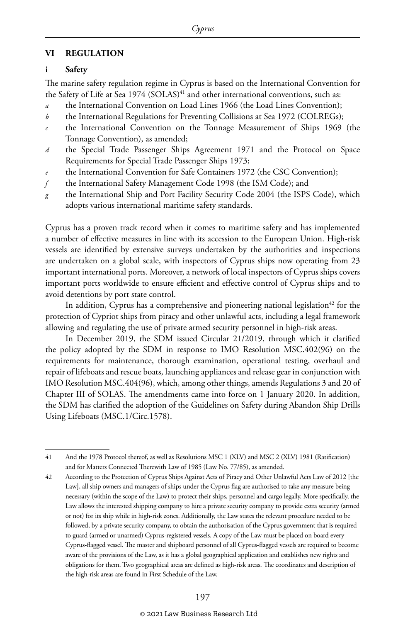#### **VI REGULATION**

#### **i Safety**

The marine safety regulation regime in Cyprus is based on the International Convention for the Safety of Life at Sea  $1974$  (SOLAS)<sup>41</sup> and other international conventions, such as:

- the International Convention on Load Lines 1966 (the Load Lines Convention);
- *b* the International Regulations for Preventing Collisions at Sea 1972 (COLREGs);
- *c* the International Convention on the Tonnage Measurement of Ships 1969 (the Tonnage Convention), as amended;
- *d* the Special Trade Passenger Ships Agreement 1971 and the Protocol on Space Requirements for Special Trade Passenger Ships 1973;
- the International Convention for Safe Containers 1972 (the CSC Convention);
- *f* the International Safety Management Code 1998 (the ISM Code); and
- *g* the International Ship and Port Facility Security Code 2004 (the ISPS Code), which adopts various international maritime safety standards.

Cyprus has a proven track record when it comes to maritime safety and has implemented a number of effective measures in line with its accession to the European Union. High-risk vessels are identified by extensive surveys undertaken by the authorities and inspections are undertaken on a global scale, with inspectors of Cyprus ships now operating from 23 important international ports. Moreover, a network of local inspectors of Cyprus ships covers important ports worldwide to ensure efficient and effective control of Cyprus ships and to avoid detentions by port state control.

In addition, Cyprus has a comprehensive and pioneering national legislation<sup>42</sup> for the protection of Cypriot ships from piracy and other unlawful acts, including a legal framework allowing and regulating the use of private armed security personnel in high-risk areas.

In December 2019, the SDM issued Circular 21/2019, through which it clarified the policy adopted by the SDM in response to IMO Resolution MSC.402(96) on the requirements for maintenance, thorough examination, operational testing, overhaul and repair of lifeboats and rescue boats, launching appliances and release gear in conjunction with IMO Resolution MSC.404(96), which, among other things, amends Regulations 3 and 20 of Chapter III of SOLAS. The amendments came into force on 1 January 2020. In addition, the SDM has clarified the adoption of the Guidelines on Safety during Abandon Ship Drills Using Lifeboats (MSC.1/Circ.1578).

<sup>41</sup> And the 1978 Protocol thereof, as well as Resolutions MSC 1 (XLV) and MSC 2 (XLV) 1981 (Ratification) and for Matters Connected Therewith Law of 1985 (Law No. 77/85), as amended.

<sup>42</sup> According to the Protection of Cyprus Ships Against Acts of Piracy and Other Unlawful Acts Law of 2012 [the Law], all ship owners and managers of ships under the Cyprus flag are authorised to take any measure being necessary (within the scope of the Law) to protect their ships, personnel and cargo legally. More specifically, the Law allows the interested shipping company to hire a private security company to provide extra security (armed or not) for its ship while in high-risk zones. Additionally, the Law states the relevant procedure needed to be followed, by a private security company, to obtain the authorisation of the Cyprus government that is required to guard (armed or unarmed) Cyprus-registered vessels. A copy of the Law must be placed on board every Cyprus-flagged vessel. The master and shipboard personnel of all Cyprus-flagged vessels are required to become aware of the provisions of the Law, as it has a global geographical application and establishes new rights and obligations for them. Two geographical areas are defined as high-risk areas. The coordinates and description of the high-risk areas are found in First Schedule of the Law.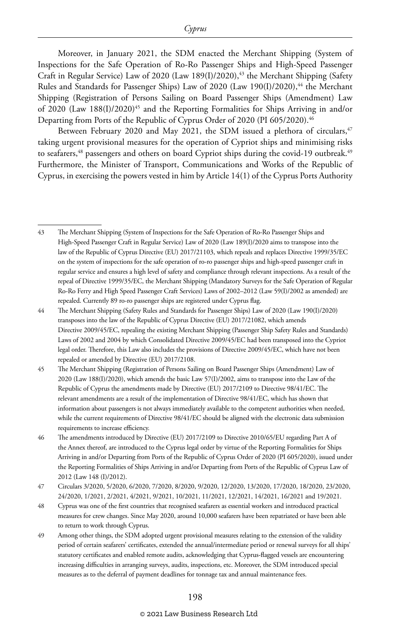Moreover, in January 2021, the SDM enacted the Merchant Shipping (System of Inspections for the Safe Operation of Ro-Ro Passenger Ships and High-Speed Passenger Craft in Regular Service) Law of 2020 (Law 189(I)/2020), $43$  the Merchant Shipping (Safety Rules and Standards for Passenger Ships) Law of 2020 (Law 190(I)/2020),<sup>44</sup> the Merchant Shipping (Registration of Persons Sailing on Board Passenger Ships (Amendment) Law of 2020 (Law  $188(I)/2020$ <sup>45</sup> and the Reporting Formalities for Ships Arriving in and/or Departing from Ports of the Republic of Cyprus Order of 2020 (PI 605/2020).<sup>46</sup>

Between February 2020 and May 2021, the SDM issued a plethora of circulars,<sup>47</sup> taking urgent provisional measures for the operation of Cypriot ships and minimising risks to seafarers,<sup>48</sup> passengers and others on board Cypriot ships during the covid-19 outbreak.<sup>49</sup> Furthermore, the Minister of Transport, Communications and Works of the Republic of Cyprus, in exercising the powers vested in him by Article 14(1) of the Cyprus Ports Authority

#### © 2021 Law Business Research Ltd

<sup>43</sup> The Merchant Shipping (System of Inspections for the Safe Operation of Ro-Ro Passenger Ships and High-Speed Passenger Craft in Regular Service) Law of 2020 (Law 189(I)/2020 aims to transpose into the law of the Republic of Cyprus Directive (EU) 2017/21103, which repeals and replaces Directive 1999/35/EC on the system of inspections for the safe operation of ro-ro passenger ships and high-speed passenger craft in regular service and ensures a high level of safety and compliance through relevant inspections. As a result of the repeal of Directive 1999/35/EC, the Merchant Shipping (Mandatory Surveys for the Safe Operation of Regular Ro-Ro Ferry and High Speed Passenger Craft Services) Laws of 2002–2012 (Law 59(I)/2002 as amended) are repealed. Currently 89 ro-ro passenger ships are registered under Cyprus flag.

<sup>44</sup> The Merchant Shipping (Safety Rules and Standards for Passenger Ships) Law of 2020 (Law 190(I)/2020) transposes into the law of the Republic of Cyprus Directive (EU) 2017/21082, which amends Directive 2009/45/EC, repealing the existing Merchant Shipping (Passenger Ship Safety Rules and Standards) Laws of 2002 and 2004 by which Consolidated Directive 2009/45/EC had been transposed into the Cypriot legal order. Therefore, this Law also includes the provisions of Directive 2009/45/EC, which have not been repealed or amended by Directive (EU) 2017/2108.

<sup>45</sup> The Merchant Shipping (Registration of Persons Sailing on Board Passenger Ships (Amendment) Law of 2020 (Law 188(I)/2020), which amends the basic Law 57(I)/2002, aims to transpose into the Law of the Republic of Cyprus the amendments made by Directive (EU) 2017/2109 to Directive 98/41/EC. The relevant amendments are a result of the implementation of Directive 98/41/EC, which has shown that information about passengers is not always immediately available to the competent authorities when needed, while the current requirements of Directive 98/41/EC should be aligned with the electronic data submission requirements to increase efficiency.

<sup>46</sup> The amendments introduced by Directive (EU) 2017/2109 to Directive 2010/65/EU regarding Part A of the Annex thereof, are introduced to the Cyprus legal order by virtue of the Reporting Formalities for Ships Arriving in and/or Departing from Ports of the Republic of Cyprus Order of 2020 (PI 605/2020), issued under the Reporting Formalities of Ships Arriving in and/or Departing from Ports of the Republic of Cyprus Law of 2012 (Law 148 (I)/2012).

<sup>47</sup> Circulars 3/2020, 5/2020, 6/2020, 7/2020, 8/2020, 9/2020, 12/2020, 13/2020, 17/2020, 18/2020, 23/2020, 24/2020, 1/2021, 2/2021, 4/2021, 9/2021, 10/2021, 11/2021, 12/2021, 14/2021, 16/2021 and 19/2021.

<sup>48</sup> Cyprus was one of the first countries that recognised seafarers as essential workers and introduced practical measures for crew changes. Since May 2020, around 10,000 seafarers have been repatriated or have been able to return to work through Cyprus.

<sup>49</sup> Among other things, the SDM adopted urgent provisional measures relating to the extension of the validity period of certain seafarers' certificates, extended the annual/intermediate period or renewal surveys for all ships' statutory certificates and enabled remote audits, acknowledging that Cyprus-flagged vessels are encountering increasing difficulties in arranging surveys, audits, inspections, etc. Moreover, the SDM introduced special measures as to the deferral of payment deadlines for tonnage tax and annual maintenance fees.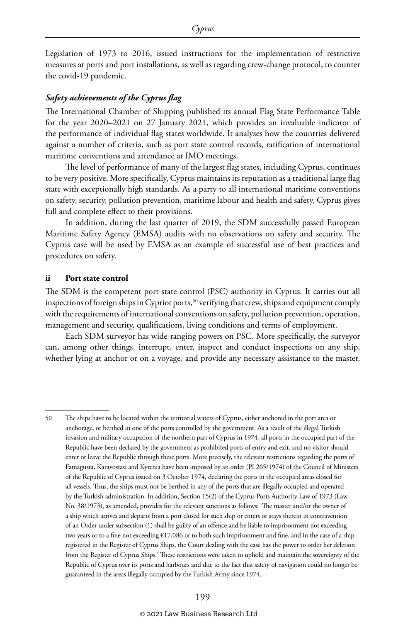Legislation of 1973 to 2016, issued instructions for the implementation of restrictive measures at ports and port installations, as well as regarding crew-change protocol, to counter the covid-19 pandemic.

#### *Safety achievements of the Cyprus flag*

The International Chamber of Shipping published its annual Flag State Performance Table for the year 2020–2021 on 27 January 2021, which provides an invaluable indicator of the performance of individual flag states worldwide. It analyses how the countries delivered against a number of criteria, such as port state control records, ratification of international maritime conventions and attendance at IMO meetings.

The level of performance of many of the largest flag states, including Cyprus, continues to be very positive. More specifically, Cyprus maintains its reputation as a traditional large flag state with exceptionally high standards. As a party to all international maritime conventions on safety, security, pollution prevention, maritime labour and health and safety, Cyprus gives full and complete effect to their provisions.

In addition, during the last quarter of 2019, the SDM successfully passed European Maritime Safety Agency (EMSA) audits with no observations on safety and security. The Cyprus case will be used by EMSA as an example of successful use of best practices and procedures on safety.

#### **ii Port state control**

The SDM is the competent port state control (PSC) authority in Cyprus. It carries out all inspections of foreign ships in Cypriot ports,<sup>50</sup> verifying that crew, ships and equipment comply with the requirements of international conventions on safety, pollution prevention, operation, management and security, qualifications, living conditions and terms of employment.

Each SDM surveyor has wide-ranging powers on PSC. More specifically, the surveyor can, among other things, interrupt, enter, inspect and conduct inspections on any ship, whether lying at anchor or on a voyage, and provide any necessary assistance to the master,

<sup>50</sup> The ships have to be located within the territorial waters of Cyprus, either anchored in the port area or anchorage, or berthed in one of the ports controlled by the government. As a result of the illegal Turkish invasion and military occupation of the northern part of Cyprus in 1974, all ports in the occupied part of the Republic have been declared by the government as prohibited ports of entry and exit, and no visitor should enter or leave the Republic through these ports. More precisely, the relevant restrictions regarding the ports of Famagusta, Karavostasi and Kyrenia have been imposed by an order (PI 265/1974) of the Council of Ministers of the Republic of Cyprus issued on 3 October 1974, declaring the ports in the occupied areas closed for all vessels. Thus, the ships must not be berthed in any of the ports that are illegally occupied and operated by the Turkish administration. In addition, Section 15(2) of the Cyprus Ports Authority Law of 1973 (Law No. 38/1973), as amended, provides for the relevant sanctions as follows: 'The master and/or the owner of a ship which arrives and departs from a port closed for such ship or enters or stays therein in contravention of an Order under subsection (1) shall be guilty of an offence and be liable to imprisonment not exceeding two years or to a fine not exceeding €17,086 or to both such imprisonment and fine, and in the case of a ship registered in the Register of Cyprus Ships, the Court dealing with the case has the power to order her deletion from the Register of Cyprus Ships.' These restrictions were taken to uphold and maintain the sovereignty of the Republic of Cyprus over its ports and harbours and due to the fact that safety of navigation could no longer be guaranteed in the areas illegally occupied by the Turkish Army since 1974.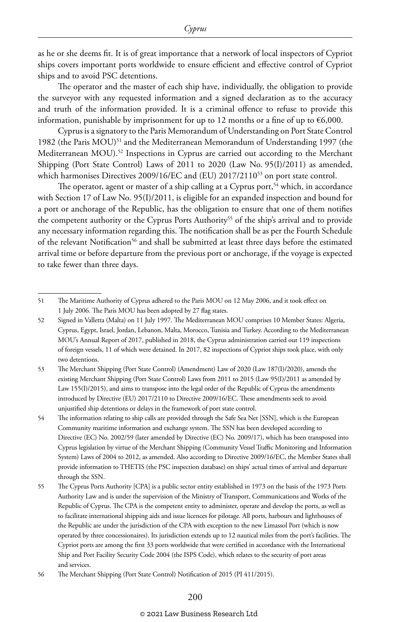as he or she deems fit. It is of great importance that a network of local inspectors of Cypriot ships covers important ports worldwide to ensure efficient and effective control of Cypriot ships and to avoid PSC detentions.

The operator and the master of each ship have, individually, the obligation to provide the surveyor with any requested information and a signed declaration as to the accuracy and truth of the information provided. It is a criminal offence to refuse to provide this information, punishable by imprisonment for up to 12 months or a fine of up to  $\epsilon$ 6,000.

Cyprus is a signatory to the Paris Memorandum of Understanding on Port State Control 1982 (the Paris MOU)<sup>51</sup> and the Mediterranean Memorandum of Understanding 1997 (the Mediterranean MOU).52 Inspections in Cyprus are carried out according to the Merchant Shipping (Port State Control) Laws of 2011 to 2020 (Law No. 95(I)/2011) as amended, which harmonises Directives 2009/16/EC and (EU) 2017/2110<sup>53</sup> on port state control.

The operator, agent or master of a ship calling at a Cyprus port,<sup>54</sup> which, in accordance with Section 17 of Law No. 95(I)/2011, is eligible for an expanded inspection and bound for a port or anchorage of the Republic, has the obligation to ensure that one of them notifies the competent authority or the Cyprus Ports Authority<sup>55</sup> of the ship's arrival and to provide any necessary information regarding this. The notification shall be as per the Fourth Schedule of the relevant Notification<sup>56</sup> and shall be submitted at least three days before the estimated arrival time or before departure from the previous port or anchorage, if the voyage is expected to take fewer than three days.

#### © 2021 Law Business Research Ltd

<sup>51</sup> The Maritime Authority of Cyprus adhered to the Paris MOU on 12 May 2006, and it took effect on 1 July 2006. The Paris MOU has been adopted by 27 flag states.

<sup>52</sup> Signed in Valletta (Malta) on 11 July 1997. The Mediterranean MOU comprises 10 Member States: Algeria, Cyprus, Egypt, Israel, Jordan, Lebanon, Malta, Morocco, Tunisia and Turkey. According to the Mediterranean MOU's Annual Report of 2017, published in 2018, the Cyprus administration carried out 119 inspections of foreign vessels, 11 of which were detained. In 2017, 82 inspections of Cypriot ships took place, with only two detentions.

<sup>53</sup> The Merchant Shipping (Port State Control) (Amendment) Law of 2020 (Law 187(I)/2020), amends the existing Merchant Shipping (Port State Control) Laws from 2011 to 2015 (Law 95(I)/2011 as amended by Law 155(I)/2015), and aims to transpose into the legal order of the Republic of Cyprus the amendments introduced by Directive (EU) 2017/2110 to Directive 2009/16/EC. These amendments seek to avoid unjustified ship detentions or delays in the framework of port state control.

<sup>54</sup> The information relating to ship calls are provided through the Safe Sea Net [SSN], which is the European Community maritime information and exchange system. The SSN has been developed according to Directive (EC) No. 2002/59 (later amended by Directive (EC) No. 2009/17), which has been transposed into Cyprus legislation by virtue of the Merchant Shipping (Community Vessel Traffic Monitoring and Information System) Laws of 2004 to 2012, as amended. Also according to Directive 2009/16/EC, the Member States shall provide information to THETIS (the PSC inspection database) on ships' actual times of arrival and departure through the SSN.

<sup>55</sup> The Cyprus Ports Authority [CPA] is a public sector entity established in 1973 on the basis of the 1973 Ports Authority Law and is under the supervision of the Ministry of Transport, Communications and Works of the Republic of Cyprus. The CPA is the competent entity to administer, operate and develop the ports, as well as to facilitate international shipping aids and issue licences for pilotage. All ports, harbours and lighthouses of the Republic are under the jurisdiction of the CPA with exception to the new Limassol Port (which is now operated by three concessionaires). Its jurisdiction extends up to 12 nautical miles from the port's facilities. The Cypriot ports are among the first 33 ports worldwide that were certified in accordance with the International Ship and Port Facility Security Code 2004 (the ISPS Code), which relates to the security of port areas and services.

<sup>56</sup> The Merchant Shipping (Port State Control) Notification of 2015 (PI 411/2015).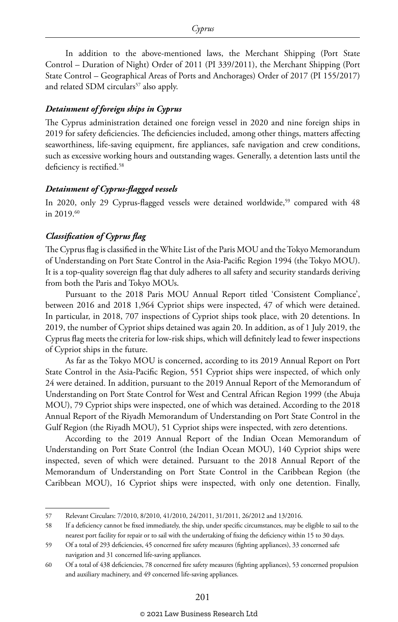In addition to the above-mentioned laws, the Merchant Shipping (Port State Control – Duration of Night) Order of 2011 (PI 339/2011), the Merchant Shipping (Port State Control – Geographical Areas of Ports and Anchorages) Order of 2017 (PI 155/2017) and related SDM circulars<sup>57</sup> also apply.

#### *Detainment of foreign ships in Cyprus*

The Cyprus administration detained one foreign vessel in 2020 and nine foreign ships in 2019 for safety deficiencies. The deficiencies included, among other things, matters affecting seaworthiness, life-saving equipment, fire appliances, safe navigation and crew conditions, such as excessive working hours and outstanding wages. Generally, a detention lasts until the deficiency is rectified.<sup>58</sup>

#### *Detainment of Cyprus-flagged vessels*

In 2020, only 29 Cyprus-flagged vessels were detained worldwide,<sup>59</sup> compared with 48 in 2019.60

#### *Classification of Cyprus flag*

The Cyprus flag is classified in the White List of the Paris MOU and the Tokyo Memorandum of Understanding on Port State Control in the Asia-Pacific Region 1994 (the Tokyo MOU). It is a top-quality sovereign flag that duly adheres to all safety and security standards deriving from both the Paris and Tokyo MOUs.

Pursuant to the 2018 Paris MOU Annual Report titled 'Consistent Compliance', between 2016 and 2018 1,964 Cypriot ships were inspected, 47 of which were detained. In particular, in 2018, 707 inspections of Cypriot ships took place, with 20 detentions. In 2019, the number of Cypriot ships detained was again 20. In addition, as of 1 July 2019, the Cyprus flag meets the criteria for low-risk ships, which will definitely lead to fewer inspections of Cypriot ships in the future.

As far as the Tokyo MOU is concerned, according to its 2019 Annual Report on Port State Control in the Asia-Pacific Region, 551 Cypriot ships were inspected, of which only 24 were detained. In addition, pursuant to the 2019 Annual Report of the Memorandum of Understanding on Port State Control for West and Central African Region 1999 (the Abuja MOU), 79 Cypriot ships were inspected, one of which was detained. According to the 2018 Annual Report of the Riyadh Memorandum of Understanding on Port State Control in the Gulf Region (the Riyadh MOU), 51 Cypriot ships were inspected, with zero detentions.

According to the 2019 Annual Report of the Indian Ocean Memorandum of Understanding on Port State Control (the Indian Ocean MOU), 140 Cypriot ships were inspected, seven of which were detained. Pursuant to the 2018 Annual Report of the Memorandum of Understanding on Port State Control in the Caribbean Region (the Caribbean MOU), 16 Cypriot ships were inspected, with only one detention. Finally,

<sup>57</sup> Relevant Circulars: 7/2010, 8/2010, 41/2010, 24/2011, 31/2011, 26/2012 and 13/2016.

<sup>58</sup> If a deficiency cannot be fixed immediately, the ship, under specific circumstances, may be eligible to sail to the nearest port facility for repair or to sail with the undertaking of fixing the deficiency within 15 to 30 days.

<sup>59</sup> Of a total of 293 deficiencies, 45 concerned fire safety measures (fighting appliances), 33 concerned safe navigation and 31 concerned life-saving appliances.

<sup>60</sup> Of a total of 438 deficiencies, 78 concerned fire safety measures (fighting appliances), 53 concerned propulsion and auxiliary machinery, and 49 concerned life-saving appliances.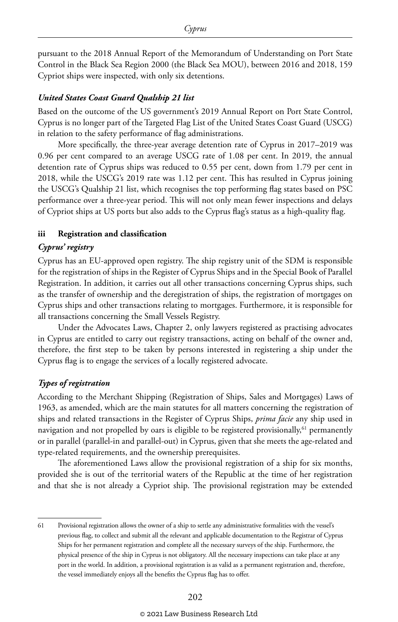pursuant to the 2018 Annual Report of the Memorandum of Understanding on Port State Control in the Black Sea Region 2000 (the Black Sea MOU), between 2016 and 2018, 159 Cypriot ships were inspected, with only six detentions.

#### *United States Coast Guard Qualship 21 list*

Based on the outcome of the US government's 2019 Annual Report on Port State Control, Cyprus is no longer part of the Targeted Flag List of the United States Coast Guard (USCG) in relation to the safety performance of flag administrations.

More specifically, the three-year average detention rate of Cyprus in 2017–2019 was 0.96 per cent compared to an average USCG rate of 1.08 per cent. In 2019, the annual detention rate of Cyprus ships was reduced to 0.55 per cent, down from 1.79 per cent in 2018, while the USCG's 2019 rate was 1.12 per cent. This has resulted in Cyprus joining the USCG's Qualship 21 list, which recognises the top performing flag states based on PSC performance over a three-year period. This will not only mean fewer inspections and delays of Cypriot ships at US ports but also adds to the Cyprus flag's status as a high-quality flag.

#### **iii Registration and classification**

#### *Cyprus' registry*

Cyprus has an EU-approved open registry. The ship registry unit of the SDM is responsible for the registration of ships in the Register of Cyprus Ships and in the Special Book of Parallel Registration. In addition, it carries out all other transactions concerning Cyprus ships, such as the transfer of ownership and the deregistration of ships, the registration of mortgages on Cyprus ships and other transactions relating to mortgages. Furthermore, it is responsible for all transactions concerning the Small Vessels Registry.

Under the Advocates Laws, Chapter 2, only lawyers registered as practising advocates in Cyprus are entitled to carry out registry transactions, acting on behalf of the owner and, therefore, the first step to be taken by persons interested in registering a ship under the Cyprus flag is to engage the services of a locally registered advocate.

#### *Types of registration*

According to the Merchant Shipping (Registration of Ships, Sales and Mortgages) Laws of 1963, as amended, which are the main statutes for all matters concerning the registration of ships and related transactions in the Register of Cyprus Ships, *prima facie* any ship used in navigation and not propelled by oars is eligible to be registered provisionally,<sup>61</sup> permanently or in parallel (parallel-in and parallel-out) in Cyprus, given that she meets the age-related and type-related requirements, and the ownership prerequisites.

The aforementioned Laws allow the provisional registration of a ship for six months, provided she is out of the territorial waters of the Republic at the time of her registration and that she is not already a Cypriot ship. The provisional registration may be extended

<sup>61</sup> Provisional registration allows the owner of a ship to settle any administrative formalities with the vessel's previous flag, to collect and submit all the relevant and applicable documentation to the Registrar of Cyprus Ships for her permanent registration and complete all the necessary surveys of the ship. Furthermore, the physical presence of the ship in Cyprus is not obligatory. All the necessary inspections can take place at any port in the world. In addition, a provisional registration is as valid as a permanent registration and, therefore, the vessel immediately enjoys all the benefits the Cyprus flag has to offer.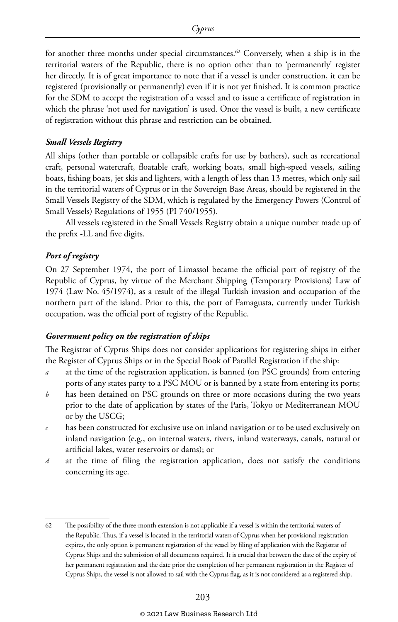for another three months under special circumstances.<sup>62</sup> Conversely, when a ship is in the territorial waters of the Republic, there is no option other than to 'permanently' register her directly. It is of great importance to note that if a vessel is under construction, it can be registered (provisionally or permanently) even if it is not yet finished. It is common practice for the SDM to accept the registration of a vessel and to issue a certificate of registration in which the phrase 'not used for navigation' is used. Once the vessel is built, a new certificate of registration without this phrase and restriction can be obtained.

#### *Small Vessels Registry*

All ships (other than portable or collapsible crafts for use by bathers), such as recreational craft, personal watercraft, floatable craft, working boats, small high-speed vessels, sailing boats, fishing boats, jet skis and lighters, with a length of less than 13 metres, which only sail in the territorial waters of Cyprus or in the Sovereign Base Areas, should be registered in the Small Vessels Registry of the SDM, which is regulated by the Emergency Powers (Control of Small Vessels) Regulations of 1955 (PI 740/1955).

All vessels registered in the Small Vessels Registry obtain a unique number made up of the prefix -LL and five digits.

#### *Port of registry*

On 27 September 1974, the port of Limassol became the official port of registry of the Republic of Cyprus, by virtue of the Merchant Shipping (Temporary Provisions) Law of 1974 (Law No. 45/1974), as a result of the illegal Turkish invasion and occupation of the northern part of the island. Prior to this, the port of Famagusta, currently under Turkish occupation, was the official port of registry of the Republic.

#### *Government policy on the registration of ships*

The Registrar of Cyprus Ships does not consider applications for registering ships in either the Register of Cyprus Ships or in the Special Book of Parallel Registration if the ship:

- *a* at the time of the registration application, is banned (on PSC grounds) from entering ports of any states party to a PSC MOU or is banned by a state from entering its ports;
- *b* has been detained on PSC grounds on three or more occasions during the two years prior to the date of application by states of the Paris, Tokyo or Mediterranean MOU or by the USCG;
- *c* has been constructed for exclusive use on inland navigation or to be used exclusively on inland navigation (e.g., on internal waters, rivers, inland waterways, canals, natural or artificial lakes, water reservoirs or dams); or
- *d* at the time of filing the registration application, does not satisfy the conditions concerning its age.

<sup>62</sup> The possibility of the three-month extension is not applicable if a vessel is within the territorial waters of the Republic. Thus, if a vessel is located in the territorial waters of Cyprus when her provisional registration expires, the only option is permanent registration of the vessel by filing of application with the Registrar of Cyprus Ships and the submission of all documents required. It is crucial that between the date of the expiry of her permanent registration and the date prior the completion of her permanent registration in the Register of Cyprus Ships, the vessel is not allowed to sail with the Cyprus flag, as it is not considered as a registered ship.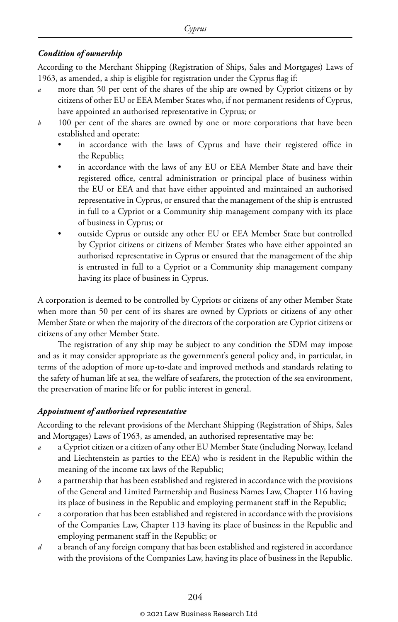#### *Condition of ownership*

According to the Merchant Shipping (Registration of Ships, Sales and Mortgages) Laws of 1963, as amended, a ship is eligible for registration under the Cyprus flag if:

- *a* more than 50 per cent of the shares of the ship are owned by Cypriot citizens or by citizens of other EU or EEA Member States who, if not permanent residents of Cyprus, have appointed an authorised representative in Cyprus; or
- *b* 100 per cent of the shares are owned by one or more corporations that have been established and operate:
	- in accordance with the laws of Cyprus and have their registered office in the Republic;
	- in accordance with the laws of any EU or EEA Member State and have their registered office, central administration or principal place of business within the EU or EEA and that have either appointed and maintained an authorised representative in Cyprus, or ensured that the management of the ship is entrusted in full to a Cypriot or a Community ship management company with its place of business in Cyprus; or
	- outside Cyprus or outside any other EU or EEA Member State but controlled by Cypriot citizens or citizens of Member States who have either appointed an authorised representative in Cyprus or ensured that the management of the ship is entrusted in full to a Cypriot or a Community ship management company having its place of business in Cyprus.

A corporation is deemed to be controlled by Cypriots or citizens of any other Member State when more than 50 per cent of its shares are owned by Cypriots or citizens of any other Member State or when the majority of the directors of the corporation are Cypriot citizens or citizens of any other Member State.

The registration of any ship may be subject to any condition the SDM may impose and as it may consider appropriate as the government's general policy and, in particular, in terms of the adoption of more up-to-date and improved methods and standards relating to the safety of human life at sea, the welfare of seafarers, the protection of the sea environment, the preservation of marine life or for public interest in general.

#### *Appointment of authorised representative*

According to the relevant provisions of the Merchant Shipping (Registration of Ships, Sales and Mortgages) Laws of 1963, as amended, an authorised representative may be:

- *a* a Cypriot citizen or a citizen of any other EU Member State (including Norway, Iceland and Liechtenstein as parties to the EEA) who is resident in the Republic within the meaning of the income tax laws of the Republic;
- *b* a partnership that has been established and registered in accordance with the provisions of the General and Limited Partnership and Business Names Law, Chapter 116 having its place of business in the Republic and employing permanent staff in the Republic;
- *c* a corporation that has been established and registered in accordance with the provisions of the Companies Law, Chapter 113 having its place of business in the Republic and employing permanent staff in the Republic; or
- *d* a branch of any foreign company that has been established and registered in accordance with the provisions of the Companies Law, having its place of business in the Republic.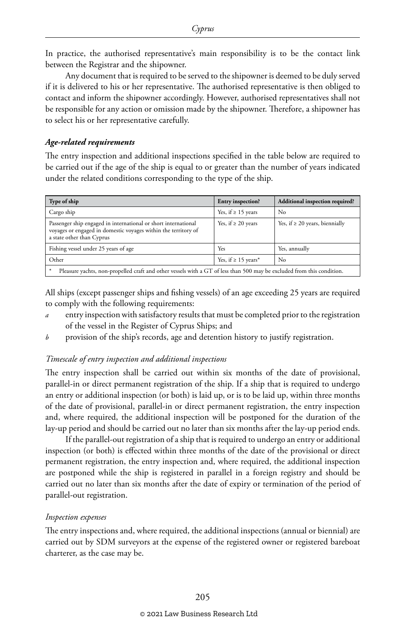In practice, the authorised representative's main responsibility is to be the contact link between the Registrar and the shipowner.

Any document that is required to be served to the shipowner is deemed to be duly served if it is delivered to his or her representative. The authorised representative is then obliged to contact and inform the shipowner accordingly. However, authorised representatives shall not be responsible for any action or omission made by the shipowner. Therefore, a shipowner has to select his or her representative carefully.

#### *Age-related requirements*

The entry inspection and additional inspections specified in the table below are required to be carried out if the age of the ship is equal to or greater than the number of years indicated under the related conditions corresponding to the type of the ship.

| Type of ship                                                                                                                                                  | Entry inspection?        | Additional inspection required?     |  |  |
|---------------------------------------------------------------------------------------------------------------------------------------------------------------|--------------------------|-------------------------------------|--|--|
| Cargo ship                                                                                                                                                    | Yes, if $\geq 15$ years  | No                                  |  |  |
| Passenger ship engaged in international or short international<br>voyages or engaged in domestic voyages within the territory of<br>a state other than Cyprus | Yes, if $\geq 20$ years  | Yes, if $\geq 20$ years, biennially |  |  |
| Fishing vessel under 25 years of age                                                                                                                          | Yes                      | Yes, annually                       |  |  |
| Other                                                                                                                                                         | Yes, if $\geq 15$ years* | No                                  |  |  |
| Pleasure yachts, non-propelled craft and other vessels with a GT of less than 500 may be excluded from this condition.<br>*                                   |                          |                                     |  |  |

All ships (except passenger ships and fishing vessels) of an age exceeding 25 years are required to comply with the following requirements:

- entry inspection with satisfactory results that must be completed prior to the registration of the vessel in the Register of Cyprus Ships; and
- *b* provision of the ship's records, age and detention history to justify registration.

#### *Timescale of entry inspection and additional inspections*

The entry inspection shall be carried out within six months of the date of provisional, parallel-in or direct permanent registration of the ship. If a ship that is required to undergo an entry or additional inspection (or both) is laid up, or is to be laid up, within three months of the date of provisional, parallel-in or direct permanent registration, the entry inspection and, where required, the additional inspection will be postponed for the duration of the lay-up period and should be carried out no later than six months after the lay-up period ends.

If the parallel-out registration of a ship that is required to undergo an entry or additional inspection (or both) is effected within three months of the date of the provisional or direct permanent registration, the entry inspection and, where required, the additional inspection are postponed while the ship is registered in parallel in a foreign registry and should be carried out no later than six months after the date of expiry or termination of the period of parallel-out registration.

#### *Inspection expenses*

The entry inspections and, where required, the additional inspections (annual or biennial) are carried out by SDM surveyors at the expense of the registered owner or registered bareboat charterer, as the case may be.

#### © 2021 Law Business Research Ltd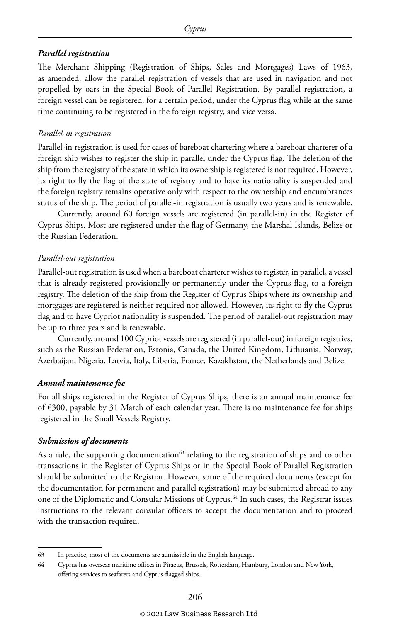#### *Parallel registration*

The Merchant Shipping (Registration of Ships, Sales and Mortgages) Laws of 1963, as amended, allow the parallel registration of vessels that are used in navigation and not propelled by oars in the Special Book of Parallel Registration. By parallel registration, a foreign vessel can be registered, for a certain period, under the Cyprus flag while at the same time continuing to be registered in the foreign registry, and vice versa.

#### *Parallel-in registration*

Parallel-in registration is used for cases of bareboat chartering where a bareboat charterer of a foreign ship wishes to register the ship in parallel under the Cyprus flag. The deletion of the ship from the registry of the state in which its ownership is registered is not required. However, its right to fly the flag of the state of registry and to have its nationality is suspended and the foreign registry remains operative only with respect to the ownership and encumbrances status of the ship. The period of parallel-in registration is usually two years and is renewable.

Currently, around 60 foreign vessels are registered (in parallel-in) in the Register of Cyprus Ships. Most are registered under the flag of Germany, the Marshal Islands, Belize or the Russian Federation.

#### *Parallel-out registration*

Parallel-out registration is used when a bareboat charterer wishes to register, in parallel, a vessel that is already registered provisionally or permanently under the Cyprus flag, to a foreign registry. The deletion of the ship from the Register of Cyprus Ships where its ownership and mortgages are registered is neither required nor allowed. However, its right to fly the Cyprus flag and to have Cypriot nationality is suspended. The period of parallel-out registration may be up to three years and is renewable.

Currently, around 100 Cypriot vessels are registered (in parallel-out) in foreign registries, such as the Russian Federation, Estonia, Canada, the United Kingdom, Lithuania, Norway, Azerbaijan, Nigeria, Latvia, Italy, Liberia, France, Kazakhstan, the Netherlands and Belize.

#### *Annual maintenance fee*

For all ships registered in the Register of Cyprus Ships, there is an annual maintenance fee of €300, payable by 31 March of each calendar year. There is no maintenance fee for ships registered in the Small Vessels Registry.

#### *Submission of documents*

As a rule, the supporting documentation $63$  relating to the registration of ships and to other transactions in the Register of Cyprus Ships or in the Special Book of Parallel Registration should be submitted to the Registrar. However, some of the required documents (except for the documentation for permanent and parallel registration) may be submitted abroad to any one of the Diplomatic and Consular Missions of Cyprus.64 In such cases, the Registrar issues instructions to the relevant consular officers to accept the documentation and to proceed with the transaction required.

<sup>63</sup> In practice, most of the documents are admissible in the English language.

<sup>64</sup> Cyprus has overseas maritime offices in Piraeus, Brussels, Rotterdam, Hamburg, London and New York, offering services to seafarers and Cyprus-flagged ships.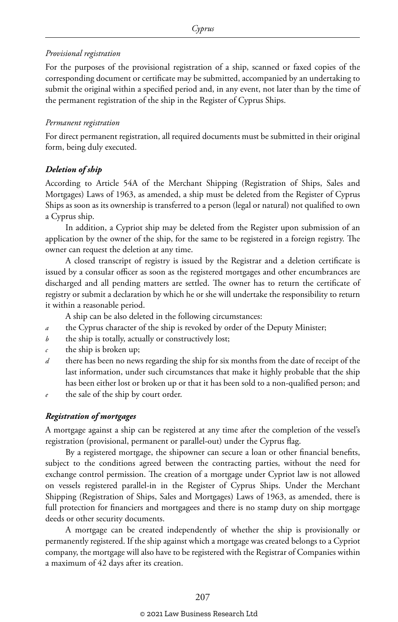#### *Provisional registration*

For the purposes of the provisional registration of a ship, scanned or faxed copies of the corresponding document or certificate may be submitted, accompanied by an undertaking to submit the original within a specified period and, in any event, not later than by the time of the permanent registration of the ship in the Register of Cyprus Ships.

#### *Permanent registration*

For direct permanent registration, all required documents must be submitted in their original form, being duly executed.

#### *Deletion of ship*

According to Article 54A of the Merchant Shipping (Registration of Ships, Sales and Mortgages) Laws of 1963, as amended, a ship must be deleted from the Register of Cyprus Ships as soon as its ownership is transferred to a person (legal or natural) not qualified to own a Cyprus ship.

In addition, a Cypriot ship may be deleted from the Register upon submission of an application by the owner of the ship, for the same to be registered in a foreign registry. The owner can request the deletion at any time.

A closed transcript of registry is issued by the Registrar and a deletion certificate is issued by a consular officer as soon as the registered mortgages and other encumbrances are discharged and all pending matters are settled. The owner has to return the certificate of registry or submit a declaration by which he or she will undertake the responsibility to return it within a reasonable period.

A ship can be also deleted in the following circumstances:

- *a* the Cyprus character of the ship is revoked by order of the Deputy Minister;
- *b* the ship is totally, actually or constructively lost;
- *c* the ship is broken up;
- *d* there has been no news regarding the ship for six months from the date of receipt of the last information, under such circumstances that make it highly probable that the ship has been either lost or broken up or that it has been sold to a non-qualified person; and
- *e* the sale of the ship by court order.

#### *Registration of mortgages*

A mortgage against a ship can be registered at any time after the completion of the vessel's registration (provisional, permanent or parallel-out) under the Cyprus flag.

By a registered mortgage, the shipowner can secure a loan or other financial benefits, subject to the conditions agreed between the contracting parties, without the need for exchange control permission. The creation of a mortgage under Cypriot law is not allowed on vessels registered parallel-in in the Register of Cyprus Ships. Under the Merchant Shipping (Registration of Ships, Sales and Mortgages) Laws of 1963, as amended, there is full protection for financiers and mortgagees and there is no stamp duty on ship mortgage deeds or other security documents.

A mortgage can be created independently of whether the ship is provisionally or permanently registered. If the ship against which a mortgage was created belongs to a Cypriot company, the mortgage will also have to be registered with the Registrar of Companies within a maximum of 42 days after its creation.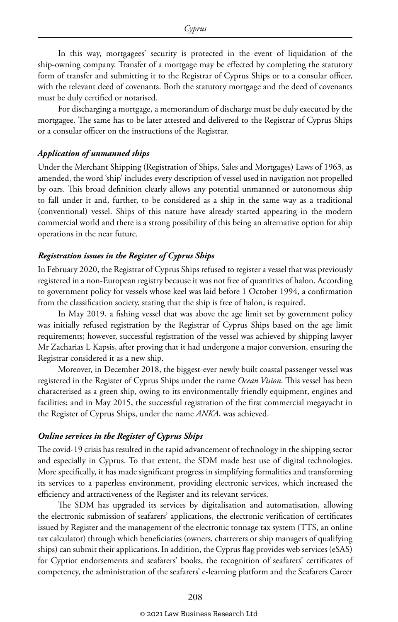In this way, mortgagees' security is protected in the event of liquidation of the ship-owning company. Transfer of a mortgage may be effected by completing the statutory form of transfer and submitting it to the Registrar of Cyprus Ships or to a consular officer, with the relevant deed of covenants. Both the statutory mortgage and the deed of covenants must be duly certified or notarised.

For discharging a mortgage, a memorandum of discharge must be duly executed by the mortgagee. The same has to be later attested and delivered to the Registrar of Cyprus Ships or a consular officer on the instructions of the Registrar.

#### *Application of unmanned ships*

Under the Merchant Shipping (Registration of Ships, Sales and Mortgages) Laws of 1963, as amended, the word 'ship' includes every description of vessel used in navigation not propelled by oars. This broad definition clearly allows any potential unmanned or autonomous ship to fall under it and, further, to be considered as a ship in the same way as a traditional (conventional) vessel. Ships of this nature have already started appearing in the modern commercial world and there is a strong possibility of this being an alternative option for ship operations in the near future.

#### *Registration issues in the Register of Cyprus Ships*

In February 2020, the Registrar of Cyprus Ships refused to register a vessel that was previously registered in a non-European registry because it was not free of quantities of halon. According to government policy for vessels whose keel was laid before 1 October 1994, a confirmation from the classification society, stating that the ship is free of halon, is required.

In May 2019, a fishing vessel that was above the age limit set by government policy was initially refused registration by the Registrar of Cyprus Ships based on the age limit requirements; however, successful registration of the vessel was achieved by shipping lawyer Mr Zacharias L Kapsis, after proving that it had undergone a major conversion, ensuring the Registrar considered it as a new ship.

Moreover, in December 2018, the biggest-ever newly built coastal passenger vessel was registered in the Register of Cyprus Ships under the name *Ocean Vision*. This vessel has been characterised as a green ship, owing to its environmentally friendly equipment, engines and facilities; and in May 2015, the successful registration of the first commercial megayacht in the Register of Cyprus Ships, under the name *ANKA*, was achieved.

#### *Online services in the Register of Cyprus Ships*

The covid-19 crisis has resulted in the rapid advancement of technology in the shipping sector and especially in Cyprus. To that extent, the SDM made best use of digital technologies. More specifically, it has made significant progress in simplifying formalities and transforming its services to a paperless environment, providing electronic services, which increased the efficiency and attractiveness of the Register and its relevant services.

The SDM has upgraded its services by digitalisation and automatisation, allowing the electronic submission of seafarers' applications, the electronic verification of certificates issued by Register and the management of the electronic tonnage tax system (TTS, an online tax calculator) through which beneficiaries (owners, charterers or ship managers of qualifying ships) can submit their applications. In addition, the Cyprus flag provides web services (eSAS) for Cypriot endorsements and seafarers' books, the recognition of seafarers' certificates of competency, the administration of the seafarers' e-learning platform and the Seafarers Career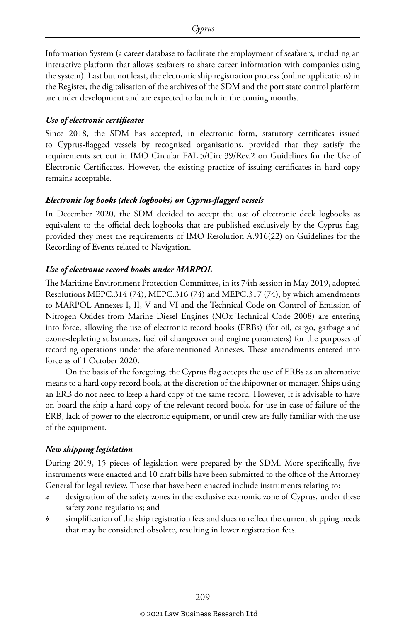Information System (a career database to facilitate the employment of seafarers, including an interactive platform that allows seafarers to share career information with companies using the system). Last but not least, the electronic ship registration process (online applications) in the Register, the digitalisation of the archives of the SDM and the port state control platform are under development and are expected to launch in the coming months.

#### *Use of electronic certificates*

Since 2018, the SDM has accepted, in electronic form, statutory certificates issued to Cyprus-flagged vessels by recognised organisations, provided that they satisfy the requirements set out in IMO Circular FAL.5/Circ.39/Rev.2 on Guidelines for the Use of Electronic Certificates. However, the existing practice of issuing certificates in hard copy remains acceptable.

#### *Electronic log books (deck logbooks) on Cyprus-flagged vessels*

In December 2020, the SDM decided to accept the use of electronic deck logbooks as equivalent to the official deck logbooks that are published exclusively by the Cyprus flag, provided they meet the requirements of IMO Resolution A.916(22) on Guidelines for the Recording of Events related to Navigation.

#### *Use of electronic record books under MARPOL*

The Maritime Environment Protection Committee, in its 74th session in May 2019, adopted Resolutions MEPC.314 (74), MEPC.316 (74) and MEPC.317 (74), by which amendments to MARPOL Annexes I, II, V and VI and the Technical Code on Control of Emission of Nitrogen Oxides from Marine Diesel Engines (NOx Technical Code 2008) are entering into force, allowing the use of electronic record books (ERBs) (for oil, cargo, garbage and ozone-depleting substances, fuel oil changeover and engine parameters) for the purposes of recording operations under the aforementioned Annexes. These amendments entered into force as of 1 October 2020.

On the basis of the foregoing, the Cyprus flag accepts the use of ERBs as an alternative means to a hard copy record book, at the discretion of the shipowner or manager. Ships using an ERB do not need to keep a hard copy of the same record. However, it is advisable to have on board the ship a hard copy of the relevant record book, for use in case of failure of the ERB, lack of power to the electronic equipment, or until crew are fully familiar with the use of the equipment.

#### *New shipping legislation*

During 2019, 15 pieces of legislation were prepared by the SDM. More specifically, five instruments were enacted and 10 draft bills have been submitted to the office of the Attorney General for legal review. Those that have been enacted include instruments relating to:

- designation of the safety zones in the exclusive economic zone of Cyprus, under these safety zone regulations; and
- *b* simplification of the ship registration fees and dues to reflect the current shipping needs that may be considered obsolete, resulting in lower registration fees.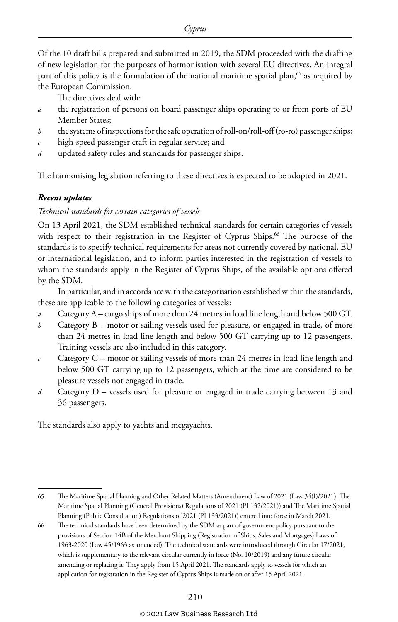Of the 10 draft bills prepared and submitted in 2019, the SDM proceeded with the drafting of new legislation for the purposes of harmonisation with several EU directives. An integral part of this policy is the formulation of the national maritime spatial plan,<sup>65</sup> as required by the European Commission.

The directives deal with:

- *a* the registration of persons on board passenger ships operating to or from ports of EU Member States;
- *b* the systems of inspections for the safe operation of roll-on/roll-off (ro-ro) passenger ships;
- *c* high-speed passenger craft in regular service; and
- *d* updated safety rules and standards for passenger ships.

The harmonising legislation referring to these directives is expected to be adopted in 2021.

#### *Recent updates*

#### *Technical standards for certain categories of vessels*

On 13 April 2021, the SDM established technical standards for certain categories of vessels with respect to their registration in the Register of Cyprus Ships.<sup>66</sup> The purpose of the standards is to specify technical requirements for areas not currently covered by national, EU or international legislation, and to inform parties interested in the registration of vessels to whom the standards apply in the Register of Cyprus Ships, of the available options offered by the SDM.

In particular, and in accordance with the categorisation established within the standards, these are applicable to the following categories of vessels:

- *a* Category A cargo ships of more than 24 metres in load line length and below 500 GT.
- *b* Category B motor or sailing vessels used for pleasure, or engaged in trade, of more than 24 metres in load line length and below 500 GT carrying up to 12 passengers. Training vessels are also included in this category.
- *c* Category C motor or sailing vessels of more than 24 metres in load line length and below 500 GT carrying up to 12 passengers, which at the time are considered to be pleasure vessels not engaged in trade.
- *d* Category D vessels used for pleasure or engaged in trade carrying between 13 and 36 passengers.

The standards also apply to yachts and megayachts.

<sup>65</sup> The Maritime Spatial Planning and Other Related Matters (Amendment) Law of 2021 (Law 34(I)/2021), The Maritime Spatial Planning (General Provisions) Regulations of 2021 (PI 132/2021)) and The Maritime Spatial Planning (Public Consultation) Regulations of 2021 (PI 133/2021)) entered into force in March 2021.

<sup>66</sup> The technical standards have been determined by the SDM as part of government policy pursuant to the provisions of Section 14B of the Merchant Shipping (Registration of Ships, Sales and Mortgages) Laws of 1963-2020 (Law 45/1963 as amended). The technical standards were introduced through Circular 17/2021, which is supplementary to the relevant circular currently in force (No. 10/2019) and any future circular amending or replacing it. They apply from 15 April 2021. The standards apply to vessels for which an application for registration in the Register of Cyprus Ships is made on or after 15 April 2021.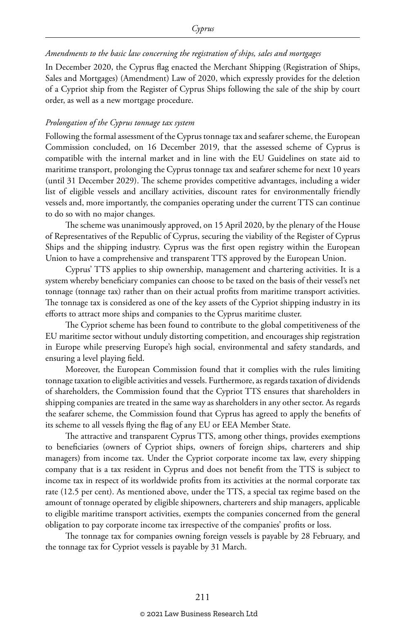#### *Amendments to the basic law concerning the registration of ships, sales and mortgages*

In December 2020, the Cyprus flag enacted the Merchant Shipping (Registration of Ships, Sales and Mortgages) (Amendment) Law of 2020, which expressly provides for the deletion of a Cypriot ship from the Register of Cyprus Ships following the sale of the ship by court order, as well as a new mortgage procedure.

#### *Prolongation of the Cyprus tonnage tax system*

Following the formal assessment of the Cyprus tonnage tax and seafarer scheme, the European Commission concluded, on 16 December 2019, that the assessed scheme of Cyprus is compatible with the internal market and in line with the EU Guidelines on state aid to maritime transport, prolonging the Cyprus tonnage tax and seafarer scheme for next 10 years (until 31 December 2029). The scheme provides competitive advantages, including a wider list of eligible vessels and ancillary activities, discount rates for environmentally friendly vessels and, more importantly, the companies operating under the current TTS can continue to do so with no major changes.

The scheme was unanimously approved, on 15 April 2020, by the plenary of the House of Representatives of the Republic of Cyprus, securing the viability of the Register of Cyprus Ships and the shipping industry. Cyprus was the first open registry within the European Union to have a comprehensive and transparent TTS approved by the European Union.

Cyprus' TTS applies to ship ownership, management and chartering activities. It is a system whereby beneficiary companies can choose to be taxed on the basis of their vessel's net tonnage (tonnage tax) rather than on their actual profits from maritime transport activities. The tonnage tax is considered as one of the key assets of the Cypriot shipping industry in its efforts to attract more ships and companies to the Cyprus maritime cluster.

The Cypriot scheme has been found to contribute to the global competitiveness of the EU maritime sector without unduly distorting competition, and encourages ship registration in Europe while preserving Europe's high social, environmental and safety standards, and ensuring a level playing field.

Moreover, the European Commission found that it complies with the rules limiting tonnage taxation to eligible activities and vessels. Furthermore, as regards taxation of dividends of shareholders, the Commission found that the Cypriot TTS ensures that shareholders in shipping companies are treated in the same way as shareholders in any other sector. As regards the seafarer scheme, the Commission found that Cyprus has agreed to apply the benefits of its scheme to all vessels flying the flag of any EU or EEA Member State.

The attractive and transparent Cyprus TTS, among other things, provides exemptions to beneficiaries (owners of Cypriot ships, owners of foreign ships, charterers and ship managers) from income tax. Under the Cypriot corporate income tax law, every shipping company that is a tax resident in Cyprus and does not benefit from the TTS is subject to income tax in respect of its worldwide profits from its activities at the normal corporate tax rate (12.5 per cent). As mentioned above, under the TTS, a special tax regime based on the amount of tonnage operated by eligible shipowners, charterers and ship managers, applicable to eligible maritime transport activities, exempts the companies concerned from the general obligation to pay corporate income tax irrespective of the companies' profits or loss.

The tonnage tax for companies owning foreign vessels is payable by 28 February, and the tonnage tax for Cypriot vessels is payable by 31 March.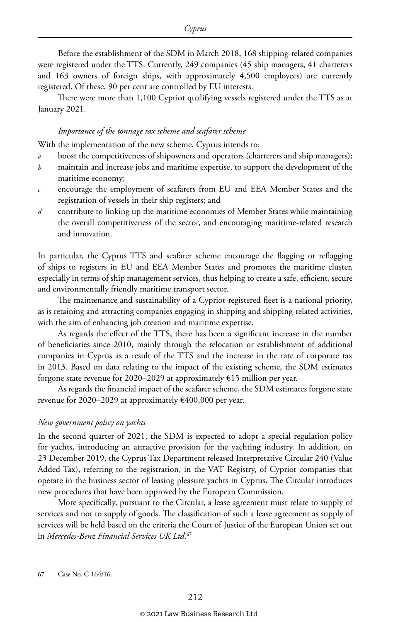Before the establishment of the SDM in March 2018, 168 shipping-related companies were registered under the TTS. Currently, 249 companies (45 ship managers, 41 charterers and 163 owners of foreign ships, with approximately 4,500 employees) are currently registered. Of these, 90 per cent are controlled by EU interests.

There were more than 1,100 Cypriot qualifying vessels registered under the TTS as at January 2021.

#### *Importance of the tonnage tax scheme and seafarer scheme*

With the implementation of the new scheme, Cyprus intends to:

- *a* boost the competitiveness of shipowners and operators (charterers and ship managers);
- *b* maintain and increase jobs and maritime expertise, to support the development of the maritime economy;
- *c* encourage the employment of seafarers from EU and EEA Member States and the registration of vessels in their ship registers; and
- *d* contribute to linking up the maritime economies of Member States while maintaining the overall competitiveness of the sector, and encouraging maritime-related research and innovation.

In particular, the Cyprus TTS and seafarer scheme encourage the flagging or reflagging of ships to registers in EU and EEA Member States and promotes the maritime cluster, especially in terms of ship management services, thus helping to create a safe, efficient, secure and environmentally friendly maritime transport sector.

The maintenance and sustainability of a Cypriot-registered fleet is a national priority, as is retaining and attracting companies engaging in shipping and shipping-related activities, with the aim of enhancing job creation and maritime expertise.

As regards the effect of the TTS, there has been a significant increase in the number of beneficiaries since 2010, mainly through the relocation or establishment of additional companies in Cyprus as a result of the TTS and the increase in the rate of corporate tax in 2013. Based on data relating to the impact of the existing scheme, the SDM estimates forgone state revenue for 2020–2029 at approximately  $\epsilon$ 15 million per year.

As regards the financial impact of the seafarer scheme, the SDM estimates forgone state revenue for 2020–2029 at approximately €400,000 per year.

#### *New government policy on yachts*

In the second quarter of 2021, the SDM is expected to adopt a special regulation policy for yachts, introducing an attractive provision for the yachting industry. In addition, on 23 December 2019, the Cyprus Tax Department released Interpretative Circular 240 (Value Added Tax), referring to the registration, in the VAT Registry, of Cypriot companies that operate in the business sector of leasing pleasure yachts in Cyprus. The Circular introduces new procedures that have been approved by the European Commission.

More specifically, pursuant to the Circular, a lease agreement must relate to supply of services and not to supply of goods. The classification of such a lease agreement as supply of services will be held based on the criteria the Court of Justice of the European Union set out in *Mercedes-Benz Financial Services UK Ltd*. 67

<sup>67</sup> Case No. C-164/16.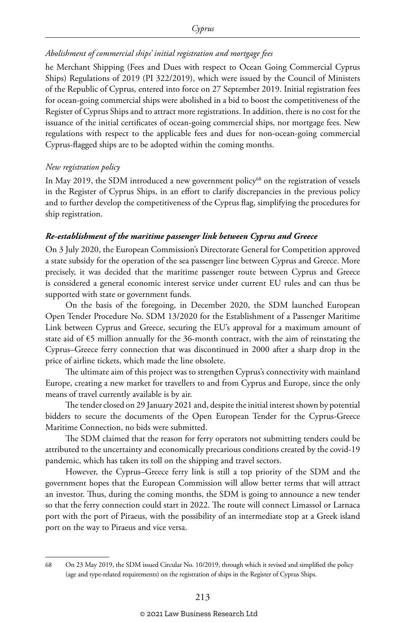#### *Abolishment of commercial ships' initial registration and mortgage fees*

he Merchant Shipping (Fees and Dues with respect to Ocean Going Commercial Cyprus Ships) Regulations of 2019 (PI 322/2019), which were issued by the Council of Ministers of the Republic of Cyprus, entered into force on 27 September 2019. Initial registration fees for ocean-going commercial ships were abolished in a bid to boost the competitiveness of the Register of Cyprus Ships and to attract more registrations. In addition, there is no cost for the issuance of the initial certificates of ocean-going commercial ships, nor mortgage fees. New regulations with respect to the applicable fees and dues for non-ocean-going commercial Cyprus-flagged ships are to be adopted within the coming months.

#### *New registration policy*

In May 2019, the SDM introduced a new government policy<sup>68</sup> on the registration of vessels in the Register of Cyprus Ships, in an effort to clarify discrepancies in the previous policy and to further develop the competitiveness of the Cyprus flag, simplifying the procedures for ship registration.

#### *Re-establishment of the maritime passenger link between Cyprus and Greece*

On 3 July 2020, the European Commission's Directorate General for Competition approved a state subsidy for the operation of the sea passenger line between Cyprus and Greece. More precisely, it was decided that the maritime passenger route between Cyprus and Greece is considered a general economic interest service under current EU rules and can thus be supported with state or government funds.

On the basis of the foregoing, in December 2020, the SDM launched European Open Tender Procedure No. SDM 13/2020 for the Establishment of a Passenger Maritime Link between Cyprus and Greece, securing the EU's approval for a maximum amount of state aid of €5 million annually for the 36-month contract, with the aim of reinstating the Cyprus–Greece ferry connection that was discontinued in 2000 after a sharp drop in the price of airline tickets, which made the line obsolete.

The ultimate aim of this project was to strengthen Cyprus's connectivity with mainland Europe, creating a new market for travellers to and from Cyprus and Europe, since the only means of travel currently available is by air.

The tender closed on 29 January 2021 and, despite the initial interest shown by potential bidders to secure the documents of the Open European Tender for the Cyprus-Greece Maritime Connection, no bids were submitted.

The SDM claimed that the reason for ferry operators not submitting tenders could be attributed to the uncertainty and economically precarious conditions created by the covid-19 pandemic, which has taken its toll on the shipping and travel sectors.

However, the Cyprus–Greece ferry link is still a top priority of the SDM and the government hopes that the European Commission will allow better terms that will attract an investor. Thus, during the coming months, the SDM is going to announce a new tender so that the ferry connection could start in 2022. The route will connect Limassol or Larnaca port with the port of Piraeus, with the possibility of an intermediate stop at a Greek island port on the way to Piraeus and vice versa.

<sup>68</sup> On 23 May 2019, the SDM issued Circular No. 10/2019, through which it revised and simplified the policy (age and type-related requirements) on the registration of ships in the Register of Cyprus Ships.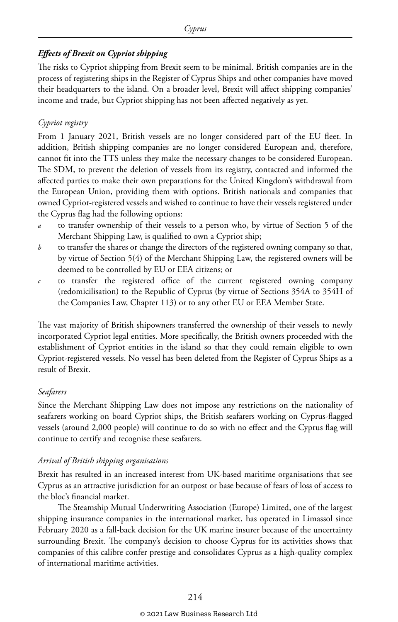#### *Effects of Brexit on Cypriot shipping*

The risks to Cypriot shipping from Brexit seem to be minimal. British companies are in the process of registering ships in the Register of Cyprus Ships and other companies have moved their headquarters to the island. On a broader level, Brexit will affect shipping companies' income and trade, but Cypriot shipping has not been affected negatively as yet.

#### *Cypriot registry*

From 1 January 2021, British vessels are no longer considered part of the EU fleet. In addition, British shipping companies are no longer considered European and, therefore, cannot fit into the TTS unless they make the necessary changes to be considered European. The SDM, to prevent the deletion of vessels from its registry, contacted and informed the affected parties to make their own preparations for the United Kingdom's withdrawal from the European Union, providing them with options. British nationals and companies that owned Cypriot-registered vessels and wished to continue to have their vessels registered under the Cyprus flag had the following options:

- *a* to transfer ownership of their vessels to a person who, by virtue of Section 5 of the Merchant Shipping Law, is qualified to own a Cypriot ship;
- *b* to transfer the shares or change the directors of the registered owning company so that, by virtue of Section 5(4) of the Merchant Shipping Law, the registered owners will be deemed to be controlled by EU or EEA citizens; or
- *c* to transfer the registered office of the current registered owning company (redomicilisation) to the Republic of Cyprus (by virtue of Sections 354A to 354H of the Companies Law, Chapter 113) or to any other EU or EEA Member State.

The vast majority of British shipowners transferred the ownership of their vessels to newly incorporated Cypriot legal entities. More specifically, the British owners proceeded with the establishment of Cypriot entities in the island so that they could remain eligible to own Cypriot-registered vessels. No vessel has been deleted from the Register of Cyprus Ships as a result of Brexit.

#### *Seafarers*

Since the Merchant Shipping Law does not impose any restrictions on the nationality of seafarers working on board Cypriot ships, the British seafarers working on Cyprus-flagged vessels (around 2,000 people) will continue to do so with no effect and the Cyprus flag will continue to certify and recognise these seafarers.

#### *Arrival of British shipping organisations*

Brexit has resulted in an increased interest from UK-based maritime organisations that see Cyprus as an attractive jurisdiction for an outpost or base because of fears of loss of access to the bloc's financial market.

The Steamship Mutual Underwriting Association (Europe) Limited, one of the largest shipping insurance companies in the international market, has operated in Limassol since February 2020 as a fall-back decision for the UK marine insurer because of the uncertainty surrounding Brexit. The company's decision to choose Cyprus for its activities shows that companies of this calibre confer prestige and consolidates Cyprus as a high-quality complex of international maritime activities.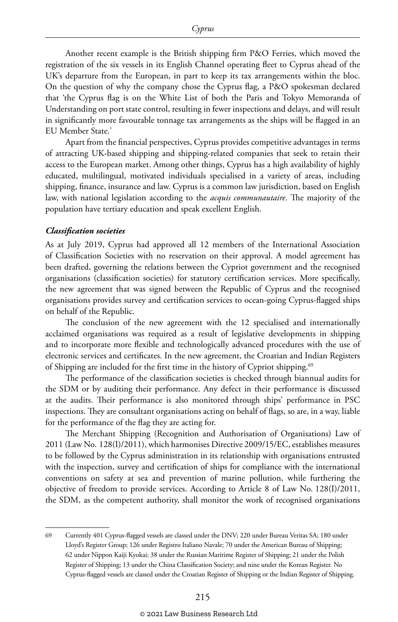Another recent example is the British shipping firm P&O Ferries, which moved the registration of the six vessels in its English Channel operating fleet to Cyprus ahead of the UK's departure from the European, in part to keep its tax arrangements within the bloc. On the question of why the company chose the Cyprus flag, a P&O spokesman declared that 'the Cyprus flag is on the White List of both the Paris and Tokyo Memoranda of Understanding on port state control, resulting in fewer inspections and delays, and will result in significantly more favourable tonnage tax arrangements as the ships will be flagged in an EU Member State.'

Apart from the financial perspectives, Cyprus provides competitive advantages in terms of attracting UK-based shipping and shipping-related companies that seek to retain their access to the European market. Among other things, Cyprus has a high availability of highly educated, multilingual, motivated individuals specialised in a variety of areas, including shipping, finance, insurance and law. Cyprus is a common law jurisdiction, based on English law, with national legislation according to the *acquis communautaire*. The majority of the population have tertiary education and speak excellent English.

#### *Classification societies*

As at July 2019, Cyprus had approved all 12 members of the International Association of Classification Societies with no reservation on their approval. A model agreement has been drafted, governing the relations between the Cypriot government and the recognised organisations (classification societies) for statutory certification services. More specifically, the new agreement that was signed between the Republic of Cyprus and the recognised organisations provides survey and certification services to ocean-going Cyprus-flagged ships on behalf of the Republic.

The conclusion of the new agreement with the 12 specialised and internationally acclaimed organisations was required as a result of legislative developments in shipping and to incorporate more flexible and technologically advanced procedures with the use of electronic services and certificates. In the new agreement, the Croatian and Indian Registers of Shipping are included for the first time in the history of Cypriot shipping.<sup>69</sup>

The performance of the classification societies is checked through biannual audits for the SDM or by auditing their performance. Any defect in their performance is discussed at the audits. Their performance is also monitored through ships' performance in PSC inspections. They are consultant organisations acting on behalf of flags, so are, in a way, liable for the performance of the flag they are acting for.

The Merchant Shipping (Recognition and Authorisation of Organisations) Law of 2011 (Law No. 128(I)/2011), which harmonises Directive 2009/15/EC, establishes measures to be followed by the Cyprus administration in its relationship with organisations entrusted with the inspection, survey and certification of ships for compliance with the international conventions on safety at sea and prevention of marine pollution, while furthering the objective of freedom to provide services. According to Article 8 of Law No. 128(I)/2011, the SDM, as the competent authority, shall monitor the work of recognised organisations

<sup>69</sup> Currently 401 Cyprus-flagged vessels are classed under the DNV; 220 under Bureau Veritas SA; 180 under Lloyd's Register Group; 126 under Registro Italiano Navale; 70 under the American Bureau of Shipping; 62 under Nippon Kaiji Kyokai; 38 under the Russian Maritime Register of Shipping; 21 under the Polish Register of Shipping; 13 under the China Classification Society; and nine under the Korean Register. No Cyprus-flagged vessels are classed under the Croatian Register of Shipping or the Indian Register of Shipping.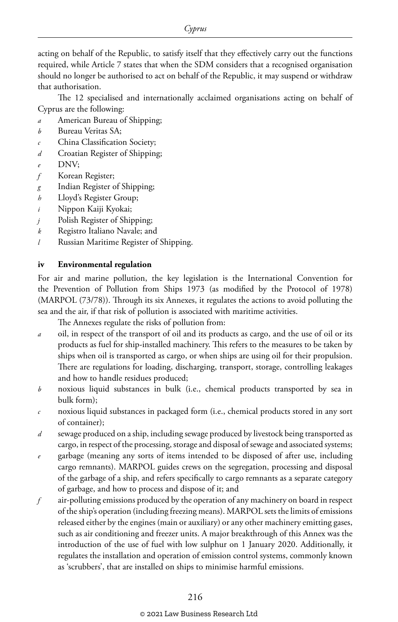acting on behalf of the Republic, to satisfy itself that they effectively carry out the functions required, while Article 7 states that when the SDM considers that a recognised organisation should no longer be authorised to act on behalf of the Republic, it may suspend or withdraw that authorisation.

The 12 specialised and internationally acclaimed organisations acting on behalf of Cyprus are the following:

- *a* American Bureau of Shipping;
- *b* Bureau Veritas SA;
- *c* China Classification Society;
- *d* Croatian Register of Shipping;
- *e* DNV;
- *f* Korean Register;
- *g* Indian Register of Shipping;
- *h* Lloyd's Register Group;
- *i* Nippon Kaiji Kyokai;
- *j* Polish Register of Shipping;
- *k* Registro Italiano Navale; and
- *l* Russian Maritime Register of Shipping.

#### **iv Environmental regulation**

For air and marine pollution, the key legislation is the International Convention for the Prevention of Pollution from Ships 1973 (as modified by the Protocol of 1978) (MARPOL (73/78)). Through its six Annexes, it regulates the actions to avoid polluting the sea and the air, if that risk of pollution is associated with maritime activities.

The Annexes regulate the risks of pollution from:

- *a* oil, in respect of the transport of oil and its products as cargo, and the use of oil or its products as fuel for ship-installed machinery. This refers to the measures to be taken by ships when oil is transported as cargo, or when ships are using oil for their propulsion. There are regulations for loading, discharging, transport, storage, controlling leakages and how to handle residues produced;
- *b* noxious liquid substances in bulk (i.e., chemical products transported by sea in bulk form);
- *c* noxious liquid substances in packaged form (i.e., chemical products stored in any sort of container);
- *d* sewage produced on a ship, including sewage produced by livestock being transported as cargo, in respect of the processing, storage and disposal of sewage and associated systems;
- *e* garbage (meaning any sorts of items intended to be disposed of after use, including cargo remnants). MARPOL guides crews on the segregation, processing and disposal of the garbage of a ship, and refers specifically to cargo remnants as a separate category of garbage, and how to process and dispose of it; and
- *f* air-polluting emissions produced by the operation of any machinery on board in respect of the ship's operation (including freezing means). MARPOL sets the limits of emissions released either by the engines (main or auxiliary) or any other machinery emitting gases, such as air conditioning and freezer units. A major breakthrough of this Annex was the introduction of the use of fuel with low sulphur on 1 January 2020. Additionally, it regulates the installation and operation of emission control systems, commonly known as 'scrubbers', that are installed on ships to minimise harmful emissions.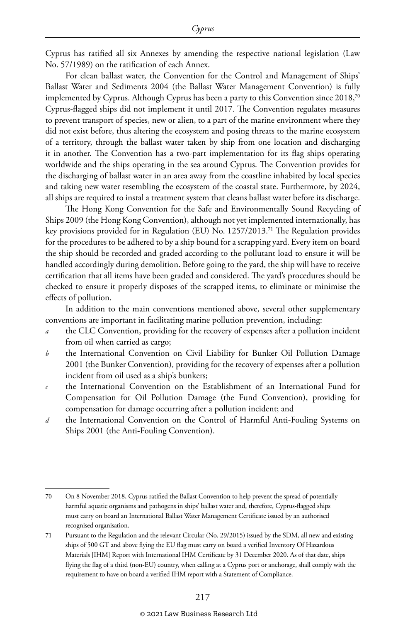Cyprus has ratified all six Annexes by amending the respective national legislation (Law No. 57/1989) on the ratification of each Annex.

For clean ballast water, the Convention for the Control and Management of Ships' Ballast Water and Sediments 2004 (the Ballast Water Management Convention) is fully implemented by Cyprus. Although Cyprus has been a party to this Convention since 2018,<sup>70</sup> Cyprus-flagged ships did not implement it until 2017. The Convention regulates measures to prevent transport of species, new or alien, to a part of the marine environment where they did not exist before, thus altering the ecosystem and posing threats to the marine ecosystem of a territory, through the ballast water taken by ship from one location and discharging it in another. The Convention has a two-part implementation for its flag ships operating worldwide and the ships operating in the sea around Cyprus. The Convention provides for the discharging of ballast water in an area away from the coastline inhabited by local species and taking new water resembling the ecosystem of the coastal state. Furthermore, by 2024, all ships are required to instal a treatment system that cleans ballast water before its discharge.

The Hong Kong Convention for the Safe and Environmentally Sound Recycling of Ships 2009 (the Hong Kong Convention), although not yet implemented internationally, has key provisions provided for in Regulation (EU) No. 1257/2013.71 The Regulation provides for the procedures to be adhered to by a ship bound for a scrapping yard. Every item on board the ship should be recorded and graded according to the pollutant load to ensure it will be handled accordingly during demolition. Before going to the yard, the ship will have to receive certification that all items have been graded and considered. The yard's procedures should be checked to ensure it properly disposes of the scrapped items, to eliminate or minimise the effects of pollution.

In addition to the main conventions mentioned above, several other supplementary conventions are important in facilitating marine pollution prevention, including:

- the CLC Convention, providing for the recovery of expenses after a pollution incident from oil when carried as cargo;
- *b* the International Convention on Civil Liability for Bunker Oil Pollution Damage 2001 (the Bunker Convention), providing for the recovery of expenses after a pollution incident from oil used as a ship's bunkers;
- *c* the International Convention on the Establishment of an International Fund for Compensation for Oil Pollution Damage (the Fund Convention), providing for compensation for damage occurring after a pollution incident; and
- *d* the International Convention on the Control of Harmful Anti-Fouling Systems on Ships 2001 (the Anti-Fouling Convention).

<sup>70</sup> On 8 November 2018, Cyprus ratified the Ballast Convention to help prevent the spread of potentially harmful aquatic organisms and pathogens in ships' ballast water and, therefore, Cyprus-flagged ships must carry on board an International Ballast Water Management Certificate issued by an authorised recognised organisation.

<sup>71</sup> Pursuant to the Regulation and the relevant Circular (No. 29/2015) issued by the SDM, all new and existing ships of 500 GT and above flying the EU flag must carry on board a verified Inventory Of Hazardous Materials [IHM] Report with International IHM Certificate by 31 December 2020. As of that date, ships flying the flag of a third (non-EU) country, when calling at a Cyprus port or anchorage, shall comply with the requirement to have on board a verified IHM report with a Statement of Compliance.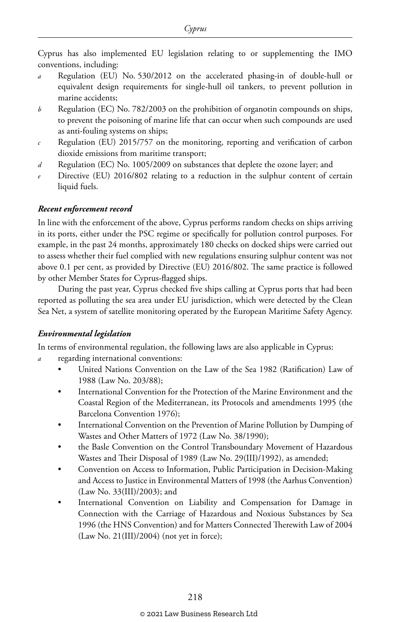Cyprus has also implemented EU legislation relating to or supplementing the IMO conventions, including:

- Regulation (EU) No. 530/2012 on the accelerated phasing-in of double-hull or equivalent design requirements for single-hull oil tankers, to prevent pollution in marine accidents;
- *b* Regulation (EC) No. 782/2003 on the prohibition of organotin compounds on ships, to prevent the poisoning of marine life that can occur when such compounds are used as anti-fouling systems on ships;
- *c* Regulation (EU) 2015/757 on the monitoring, reporting and verification of carbon dioxide emissions from maritime transport;
- *d* Regulation (EC) No. 1005/2009 on substances that deplete the ozone layer; and
- Directive (EU) 2016/802 relating to a reduction in the sulphur content of certain liquid fuels.

#### *Recent enforcement record*

In line with the enforcement of the above, Cyprus performs random checks on ships arriving in its ports, either under the PSC regime or specifically for pollution control purposes. For example, in the past 24 months, approximately 180 checks on docked ships were carried out to assess whether their fuel complied with new regulations ensuring sulphur content was not above 0.1 per cent, as provided by Directive (EU) 2016/802. The same practice is followed by other Member States for Cyprus-flagged ships.

During the past year, Cyprus checked five ships calling at Cyprus ports that had been reported as polluting the sea area under EU jurisdiction, which were detected by the Clean Sea Net, a system of satellite monitoring operated by the European Maritime Safety Agency.

#### *Environmental legislation*

In terms of environmental regulation, the following laws are also applicable in Cyprus:

- *a* regarding international conventions:
	- United Nations Convention on the Law of the Sea 1982 (Ratification) Law of 1988 (Law No. 203/88);
	- International Convention for the Protection of the Marine Environment and the Coastal Region of the Mediterranean, its Protocols and amendments 1995 (the Barcelona Convention 1976);
	- International Convention on the Prevention of Marine Pollution by Dumping of Wastes and Other Matters of 1972 (Law No. 38/1990);
	- the Basle Convention on the Control Transboundary Movement of Hazardous Wastes and Their Disposal of 1989 (Law No. 29(III)/1992), as amended;
	- Convention on Access to Information, Public Participation in Decision-Making and Access to Justice in Environmental Matters of 1998 (the Aarhus Convention) (Law No. 33(III)/2003); and
	- International Convention on Liability and Compensation for Damage in Connection with the Carriage of Hazardous and Noxious Substances by Sea 1996 (the HNS Convention) and for Matters Connected Therewith Law of 2004  $(Law No. 21(III)/2004)$  (not yet in force);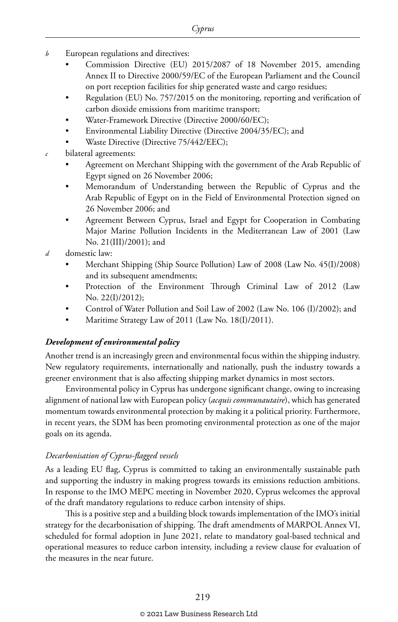- *b* European regulations and directives:
	- Commission Directive (EU) 2015/2087 of 18 November 2015, amending Annex II to Directive 2000/59/EC of the European Parliament and the Council on port reception facilities for ship generated waste and cargo residues;
	- Regulation (EU) No. 757/2015 on the monitoring, reporting and verification of carbon dioxide emissions from maritime transport;
	- Water-Framework Directive (Directive 2000/60/EC);
	- Environmental Liability Directive (Directive 2004/35/EC); and
	- Waste Directive (Directive 75/442/EEC);
- *c* bilateral agreements:
	- Agreement on Merchant Shipping with the government of the Arab Republic of Egypt signed on 26 November 2006;
	- Memorandum of Understanding between the Republic of Cyprus and the Arab Republic of Egypt on in the Field of Environmental Protection signed on 26 November 2006; and
	- Agreement Between Cyprus, Israel and Egypt for Cooperation in Combating Major Marine Pollution Incidents in the Mediterranean Law of 2001 (Law No. 21(III)/2001); and
- *d* domestic law:
	- Merchant Shipping (Ship Source Pollution) Law of 2008 (Law No. 45(I)/2008) and its subsequent amendments;
	- Protection of the Environment Through Criminal Law of 2012 (Law No. 22(I)/2012);
	- Control of Water Pollution and Soil Law of 2002 (Law No. 106 (I)/2002); and
	- Maritime Strategy Law of 2011 (Law No. 18(I)/2011).

#### *Development of environmental policy*

Another trend is an increasingly green and environmental focus within the shipping industry. New regulatory requirements, internationally and nationally, push the industry towards a greener environment that is also affecting shipping market dynamics in most sectors.

Environmental policy in Cyprus has undergone significant change, owing to increasing alignment of national law with European policy (*acquis communautaire*), which has generated momentum towards environmental protection by making it a political priority. Furthermore, in recent years, the SDM has been promoting environmental protection as one of the major goals on its agenda.

#### *Decarbonisation of Cyprus-flagged vessels*

As a leading EU flag, Cyprus is committed to taking an environmentally sustainable path and supporting the industry in making progress towards its emissions reduction ambitions. In response to the IMO MEPC meeting in November 2020, Cyprus welcomes the approval of the draft mandatory regulations to reduce carbon intensity of ships.

This is a positive step and a building block towards implementation of the IMO's initial strategy for the decarbonisation of shipping. The draft amendments of MARPOL Annex VI, scheduled for formal adoption in June 2021, relate to mandatory goal-based technical and operational measures to reduce carbon intensity, including a review clause for evaluation of the measures in the near future.

#### © 2021 Law Business Research Ltd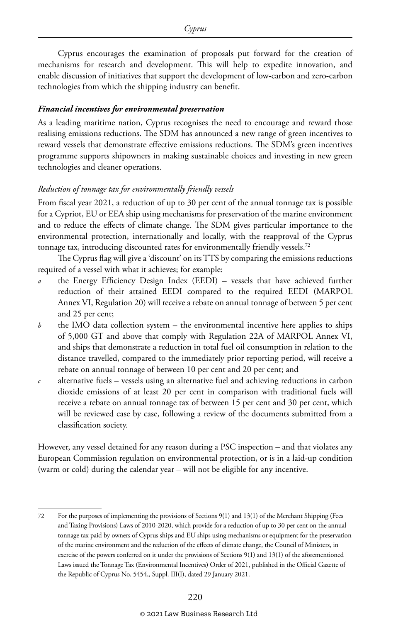Cyprus encourages the examination of proposals put forward for the creation of mechanisms for research and development. This will help to expedite innovation, and enable discussion of initiatives that support the development of low-carbon and zero-carbon technologies from which the shipping industry can benefit.

#### *Financial incentives for environmental preservation*

As a leading maritime nation, Cyprus recognises the need to encourage and reward those realising emissions reductions. The SDM has announced a new range of green incentives to reward vessels that demonstrate effective emissions reductions. The SDM's green incentives programme supports shipowners in making sustainable choices and investing in new green technologies and cleaner operations.

#### *Reduction of tonnage tax for environmentally friendly vessels*

From fiscal year 2021, a reduction of up to 30 per cent of the annual tonnage tax is possible for a Cypriot, EU or EEA ship using mechanisms for preservation of the marine environment and to reduce the effects of climate change. The SDM gives particular importance to the environmental protection, internationally and locally, with the reapproval of the Cyprus tonnage tax, introducing discounted rates for environmentally friendly vessels.<sup>72</sup>

The Cyprus flag will give a 'discount' on its TTS by comparing the emissions reductions required of a vessel with what it achieves; for example:

- *a* the Energy Efficiency Design Index (EEDI) vessels that have achieved further reduction of their attained EEDI compared to the required EEDI (MARPOL Annex VI, Regulation 20) will receive a rebate on annual tonnage of between 5 per cent and 25 per cent;
- *b* the IMO data collection system the environmental incentive here applies to ships of 5,000 GT and above that comply with Regulation 22A of MARPOL Annex VI, and ships that demonstrate a reduction in total fuel oil consumption in relation to the distance travelled, compared to the immediately prior reporting period, will receive a rebate on annual tonnage of between 10 per cent and 20 per cent; and
- *c* alternative fuels vessels using an alternative fuel and achieving reductions in carbon dioxide emissions of at least 20 per cent in comparison with traditional fuels will receive a rebate on annual tonnage tax of between 15 per cent and 30 per cent, which will be reviewed case by case, following a review of the documents submitted from a classification society.

However, any vessel detained for any reason during a PSC inspection – and that violates any European Commission regulation on environmental protection, or is in a laid-up condition (warm or cold) during the calendar year – will not be eligible for any incentive.

<sup>72</sup> For the purposes of implementing the provisions of Sections 9(1) and 13(1) of the Merchant Shipping (Fees and Taxing Provisions) Laws of 2010-2020, which provide for a reduction of up to 30 per cent on the annual tonnage tax paid by owners of Cyprus ships and EU ships using mechanisms or equipment for the preservation of the marine environment and the reduction of the effects of climate change, the Council of Ministers, in exercise of the powers conferred on it under the provisions of Sections 9(1) and 13(1) of the aforementioned Laws issued the Tonnage Tax (Environmental Incentives) Order of 2021, published in the Official Gazette of the Republic of Cyprus No. 5454,, Suppl. III(I), dated 29 January 2021.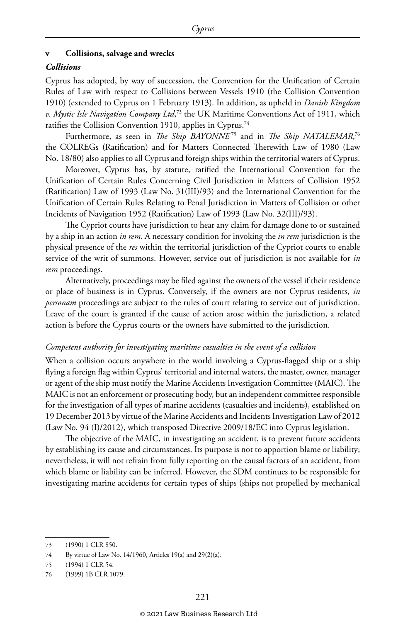#### **v Collisions, salvage and wrecks**

#### *Collisions*

Cyprus has adopted, by way of succession, the Convention for the Unification of Certain Rules of Law with respect to Collisions between Vessels 1910 (the Collision Convention 1910) (extended to Cyprus on 1 February 1913). In addition, as upheld in *Danish Kingdom v. Mystic Isle Navigation Company Ltd*, 73 the UK Maritime Conventions Act of 1911, which ratifies the Collision Convention 1910, applies in Cyprus.<sup>74</sup>

Furthermore, as seen in *The Ship BAYONNE<sup>75</sup>* and in *The Ship NATALEMAR*,<sup>76</sup> the COLREGs (Ratification) and for Matters Connected Therewith Law of 1980 (Law No. 18/80) also applies to all Cyprus and foreign ships within the territorial waters of Cyprus.

Moreover, Cyprus has, by statute, ratified the International Convention for the Unification of Certain Rules Concerning Civil Jurisdiction in Matters of Collision 1952 (Ratification) Law of 1993 (Law No. 31(III)/93) and the International Convention for the Unification of Certain Rules Relating to Penal Jurisdiction in Matters of Collision or other Incidents of Navigation 1952 (Ratification) Law of 1993 (Law No. 32(III)/93).

The Cypriot courts have jurisdiction to hear any claim for damage done to or sustained by a ship in an action *in rem*. A necessary condition for invoking the *in rem* jurisdiction is the physical presence of the *res* within the territorial jurisdiction of the Cypriot courts to enable service of the writ of summons. However, service out of jurisdiction is not available for *in rem* proceedings.

Alternatively, proceedings may be filed against the owners of the vessel if their residence or place of business is in Cyprus. Conversely, if the owners are not Cyprus residents, *in personam* proceedings are subject to the rules of court relating to service out of jurisdiction. Leave of the court is granted if the cause of action arose within the jurisdiction, a related action is before the Cyprus courts or the owners have submitted to the jurisdiction.

#### *Competent authority for investigating maritime casualties in the event of a collision*

When a collision occurs anywhere in the world involving a Cyprus-flagged ship or a ship flying a foreign flag within Cyprus' territorial and internal waters, the master, owner, manager or agent of the ship must notify the Marine Accidents Investigation Committee (MAIC). The MAIC is not an enforcement or prosecuting body, but an independent committee responsible for the investigation of all types of marine accidents (casualties and incidents), established on 19 December 2013 by virtue of the Marine Accidents and Incidents Investigation Law of 2012 (Law No. 94 (I)/2012), which transposed Directive 2009/18/EC into Cyprus legislation.

The objective of the MAIC, in investigating an accident, is to prevent future accidents by establishing its cause and circumstances. Its purpose is not to apportion blame or liability; nevertheless, it will not refrain from fully reporting on the causal factors of an accident, from which blame or liability can be inferred. However, the SDM continues to be responsible for investigating marine accidents for certain types of ships (ships not propelled by mechanical

<sup>73</sup> (1990) 1 CLR 850.

<sup>74</sup> By virtue of Law No. 14/1960, Articles 19(a) and 29(2)(a).

<sup>75</sup> (1994) 1 CLR 54.

<sup>76</sup> (1999) 1B CLR 1079.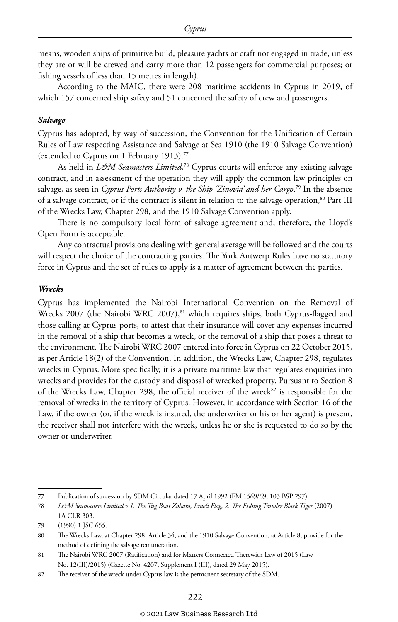means, wooden ships of primitive build, pleasure yachts or craft not engaged in trade, unless they are or will be crewed and carry more than 12 passengers for commercial purposes; or fishing vessels of less than 15 metres in length).

According to the MAIC, there were 208 maritime accidents in Cyprus in 2019, of which 157 concerned ship safety and 51 concerned the safety of crew and passengers.

#### *Salvage*

Cyprus has adopted, by way of succession, the Convention for the Unification of Certain Rules of Law respecting Assistance and Salvage at Sea 1910 (the 1910 Salvage Convention) (extended to Cyprus on 1 February 1913).77

As held in *L&M Seamasters Limited*, 78 Cyprus courts will enforce any existing salvage contract, and in assessment of the operation they will apply the common law principles on salvage, as seen in *Cyprus Ports Authority v. the Ship 'Zinovia' and her Cargo*. 79 In the absence of a salvage contract, or if the contract is silent in relation to the salvage operation,<sup>80</sup> Part III of the Wrecks Law, Chapter 298, and the 1910 Salvage Convention apply.

There is no compulsory local form of salvage agreement and, therefore, the Lloyd's Open Form is acceptable.

Any contractual provisions dealing with general average will be followed and the courts will respect the choice of the contracting parties. The York Antwerp Rules have no statutory force in Cyprus and the set of rules to apply is a matter of agreement between the parties.

#### *Wrecks*

Cyprus has implemented the Nairobi International Convention on the Removal of Wrecks 2007 (the Nairobi WRC 2007),<sup>81</sup> which requires ships, both Cyprus-flagged and those calling at Cyprus ports, to attest that their insurance will cover any expenses incurred in the removal of a ship that becomes a wreck, or the removal of a ship that poses a threat to the environment. The Nairobi WRC 2007 entered into force in Cyprus on 22 October 2015, as per Article 18(2) of the Convention. In addition, the Wrecks Law, Chapter 298, regulates wrecks in Cyprus. More specifically, it is a private maritime law that regulates enquiries into wrecks and provides for the custody and disposal of wrecked property. Pursuant to Section 8 of the Wrecks Law, Chapter 298, the official receiver of the wreck<sup>82</sup> is responsible for the removal of wrecks in the territory of Cyprus. However, in accordance with Section 16 of the Law, if the owner (or, if the wreck is insured, the underwriter or his or her agent) is present, the receiver shall not interfere with the wreck, unless he or she is requested to do so by the owner or underwriter.

<sup>77</sup> Publication of succession by SDM Circular dated 17 April 1992 (FM 1569/69; 103 BSP 297).

<sup>78</sup> *L&M Seamasters Limited v 1. The Tug Boat Zohara, Israeli Flag, 2. The Fishing Trawler Black Tiger* (2007) 1A CLR 303.

<sup>79</sup> (1990) 1 JSC 655.

<sup>80</sup> The Wrecks Law, at Chapter 298, Article 34, and the 1910 Salvage Convention, at Article 8, provide for the method of defining the salvage remuneration.

<sup>81</sup> The Nairobi WRC 2007 (Ratification) and for Matters Connected Therewith Law of 2015 (Law No. 12(III)/2015) (Gazette No. 4207, Supplement I (III), dated 29 May 2015).

<sup>82</sup> The receiver of the wreck under Cyprus law is the permanent secretary of the SDM.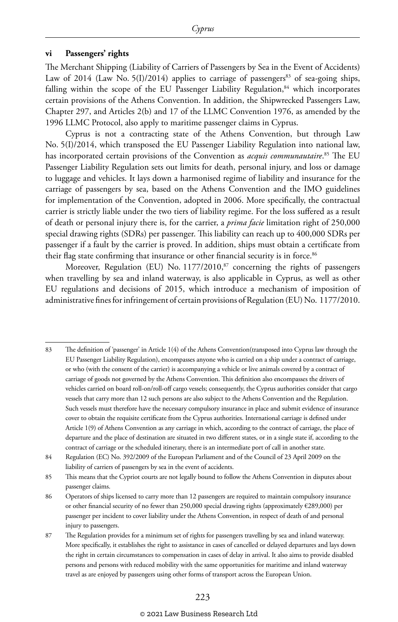#### **vi Passengers' rights**

The Merchant Shipping (Liability of Carriers of Passengers by Sea in the Event of Accidents) Law of 2014 (Law No. 5(I)/2014) applies to carriage of passengers<sup>83</sup> of sea-going ships, falling within the scope of the EU Passenger Liability Regulation, $84$  which incorporates certain provisions of the Athens Convention. In addition, the Shipwrecked Passengers Law, Chapter 297, and Articles 2(b) and 17 of the LLMC Convention 1976, as amended by the 1996 LLMC Protocol, also apply to maritime passenger claims in Cyprus.

Cyprus is not a contracting state of the Athens Convention, but through Law No. 5(I)/2014, which transposed the EU Passenger Liability Regulation into national law, has incorporated certain provisions of the Convention as *acquis communautaire*. 85 The EU Passenger Liability Regulation sets out limits for death, personal injury, and loss or damage to luggage and vehicles. It lays down a harmonised regime of liability and insurance for the carriage of passengers by sea, based on the Athens Convention and the IMO guidelines for implementation of the Convention, adopted in 2006. More specifically, the contractual carrier is strictly liable under the two tiers of liability regime. For the loss suffered as a result of death or personal injury there is, for the carrier, a *prima facie* limitation right of 250,000 special drawing rights (SDRs) per passenger. This liability can reach up to 400,000 SDRs per passenger if a fault by the carrier is proved. In addition, ships must obtain a certificate from their flag state confirming that insurance or other financial security is in force.<sup>86</sup>

Moreover, Regulation (EU) No. 1177/2010,<sup>87</sup> concerning the rights of passengers when travelling by sea and inland waterway, is also applicable in Cyprus, as well as other EU regulations and decisions of 2015, which introduce a mechanism of imposition of administrative fines for infringement of certain provisions of Regulation (EU) No. 1177/2010.

<sup>83</sup> The definition of 'passenger' in Article 1(4) of the Athens Convention(transposed into Cyprus law through the EU Passenger Liability Regulation), encompasses anyone who is carried on a ship under a contract of carriage, or who (with the consent of the carrier) is accompanying a vehicle or live animals covered by a contract of carriage of goods not governed by the Athens Convention. This definition also encompasses the drivers of vehicles carried on board roll-on/roll-off cargo vessels; consequently, the Cyprus authorities consider that cargo vessels that carry more than 12 such persons are also subject to the Athens Convention and the Regulation. Such vessels must therefore have the necessary compulsory insurance in place and submit evidence of insurance cover to obtain the requisite certificate from the Cyprus authorities. International carriage is defined under Article 1(9) of Athens Convention as any carriage in which, according to the contract of carriage, the place of departure and the place of destination are situated in two different states, or in a single state if, according to the contract of carriage or the scheduled itinerary, there is an intermediate port of call in another state.

<sup>84</sup> Regulation (EC) No. 392/2009 of the European Parliament and of the Council of 23 April 2009 on the liability of carriers of passengers by sea in the event of accidents.

<sup>85</sup> This means that the Cypriot courts are not legally bound to follow the Athens Convention in disputes about passenger claims.

<sup>86</sup> Operators of ships licensed to carry more than 12 passengers are required to maintain compulsory insurance or other financial security of no fewer than 250,000 special drawing rights (approximately €289,000) per passenger per incident to cover liability under the Athens Convention, in respect of death of and personal injury to passengers.

<sup>87</sup> The Regulation provides for a minimum set of rights for passengers travelling by sea and inland waterway. More specifically, it establishes the right to assistance in cases of cancelled or delayed departures and lays down the right in certain circumstances to compensation in cases of delay in arrival. It also aims to provide disabled persons and persons with reduced mobility with the same opportunities for maritime and inland waterway travel as are enjoyed by passengers using other forms of transport across the European Union.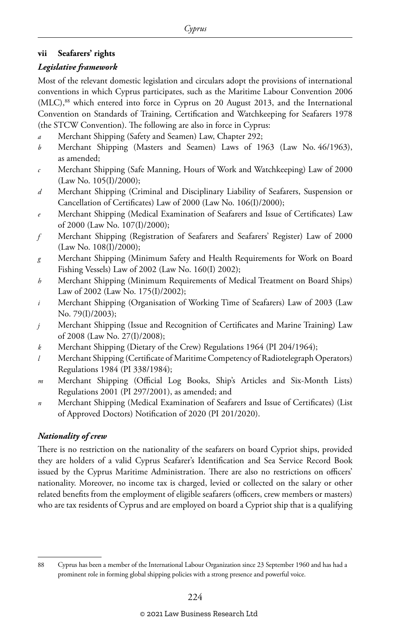#### **vii Seafarers' rights**

#### *Legislative framework*

Most of the relevant domestic legislation and circulars adopt the provisions of international conventions in which Cyprus participates, such as the Maritime Labour Convention 2006 (MLC),<sup>88</sup> which entered into force in Cyprus on 20 August 2013, and the International Convention on Standards of Training, Certification and Watchkeeping for Seafarers 1978 (the STCW Convention). The following are also in force in Cyprus:

- *a* Merchant Shipping (Safety and Seamen) Law, Chapter 292;
- *b* Merchant Shipping (Masters and Seamen) Laws of 1963 (Law No. 46/1963), as amended;
- *c* Merchant Shipping (Safe Manning, Hours of Work and Watchkeeping) Law of 2000 (Law No. 105(I)/2000);
- *d* Merchant Shipping (Criminal and Disciplinary Liability of Seafarers, Suspension or Cancellation of Certificates) Law of 2000 (Law No. 106(I)/2000);
- *e* Merchant Shipping (Medical Examination of Seafarers and Issue of Certificates) Law of 2000 (Law No. 107(I)/2000);
- *f* Merchant Shipping (Registration of Seafarers and Seafarers' Register) Law of 2000 (Law No. 108(I)/2000);
- *g* Merchant Shipping (Minimum Safety and Health Requirements for Work on Board Fishing Vessels) Law of 2002 (Law No. 160(I) 2002);
- *h* Merchant Shipping (Minimum Requirements of Medical Treatment on Board Ships) Law of 2002 (Law No. 175(I)/2002);
- *i* Merchant Shipping (Organisation of Working Time of Seafarers) Law of 2003 (Law No. 79(I)/2003);
- *j* Merchant Shipping (Issue and Recognition of Certificates and Marine Training) Law of 2008 (Law No. 27(I)/2008);
- *k* Merchant Shipping (Dietary of the Crew) Regulations 1964 (PI 204/1964);
- *l* Merchant Shipping (Certificate of Maritime Competency of Radiotelegraph Operators) Regulations 1984 (PI 338/1984);
- *m* Merchant Shipping (Official Log Books, Ship's Articles and Six-Month Lists) Regulations 2001 (PI 297/2001), as amended; and
- *n* Merchant Shipping (Medical Examination of Seafarers and Issue of Certificates) (List of Approved Doctors) Notification of 2020 (PI 201/2020).

#### *Nationality of crew*

There is no restriction on the nationality of the seafarers on board Cypriot ships, provided they are holders of a valid Cyprus Seafarer's Identification and Sea Service Record Book issued by the Cyprus Maritime Administration. There are also no restrictions on officers' nationality. Moreover, no income tax is charged, levied or collected on the salary or other related benefits from the employment of eligible seafarers (officers, crew members or masters) who are tax residents of Cyprus and are employed on board a Cypriot ship that is a qualifying

<sup>88</sup> Cyprus has been a member of the International Labour Organization since 23 September 1960 and has had a prominent role in forming global shipping policies with a strong presence and powerful voice.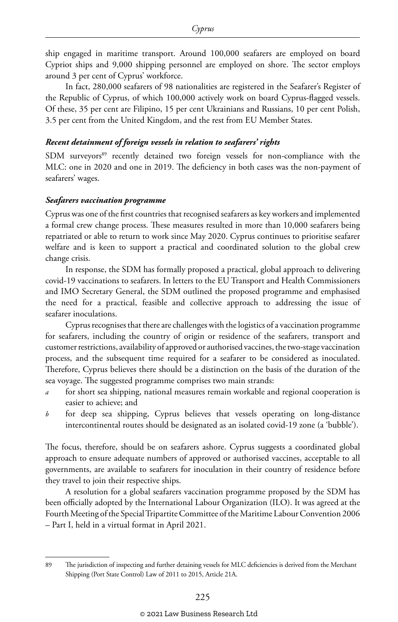ship engaged in maritime transport. Around 100,000 seafarers are employed on board Cypriot ships and 9,000 shipping personnel are employed on shore. The sector employs around 3 per cent of Cyprus' workforce.

In fact, 280,000 seafarers of 98 nationalities are registered in the Seafarer's Register of the Republic of Cyprus, of which 100,000 actively work on board Cyprus-flagged vessels. Of these, 35 per cent are Filipino, 15 per cent Ukrainians and Russians, 10 per cent Polish, 3.5 per cent from the United Kingdom, and the rest from EU Member States.

#### *Recent detainment of foreign vessels in relation to seafarers' rights*

SDM surveyors<sup>89</sup> recently detained two foreign vessels for non-compliance with the MLC: one in 2020 and one in 2019. The deficiency in both cases was the non-payment of seafarers' wages.

#### *Seafarers vaccination programme*

Cyprus was one of the first countries that recognised seafarers as key workers and implemented a formal crew change process. These measures resulted in more than 10,000 seafarers being repatriated or able to return to work since May 2020. Cyprus continues to prioritise seafarer welfare and is keen to support a practical and coordinated solution to the global crew change crisis.

In response, the SDM has formally proposed a practical, global approach to delivering covid-19 vaccinations to seafarers. In letters to the EU Transport and Health Commissioners and IMO Secretary General, the SDM outlined the proposed programme and emphasised the need for a practical, feasible and collective approach to addressing the issue of seafarer inoculations.

Cyprus recognises that there are challenges with the logistics of a vaccination programme for seafarers, including the country of origin or residence of the seafarers, transport and customer restrictions, availability of approved or authorised vaccines, the two-stage vaccination process, and the subsequent time required for a seafarer to be considered as inoculated. Therefore, Cyprus believes there should be a distinction on the basis of the duration of the sea voyage. The suggested programme comprises two main strands:

- *a* for short sea shipping, national measures remain workable and regional cooperation is easier to achieve; and
- *b* for deep sea shipping, Cyprus believes that vessels operating on long-distance intercontinental routes should be designated as an isolated covid-19 zone (a 'bubble').

The focus, therefore, should be on seafarers ashore. Cyprus suggests a coordinated global approach to ensure adequate numbers of approved or authorised vaccines, acceptable to all governments, are available to seafarers for inoculation in their country of residence before they travel to join their respective ships.

A resolution for a global seafarers vaccination programme proposed by the SDM has been officially adopted by the International Labour Organization (ILO). It was agreed at the Fourth Meeting of the Special Tripartite Committee of the Maritime Labour Convention 2006 – Part I, held in a virtual format in April 2021.

<sup>89</sup> The jurisdiction of inspecting and further detaining vessels for MLC deficiencies is derived from the Merchant Shipping (Port State Control) Law of 2011 to 2015, Article 21A.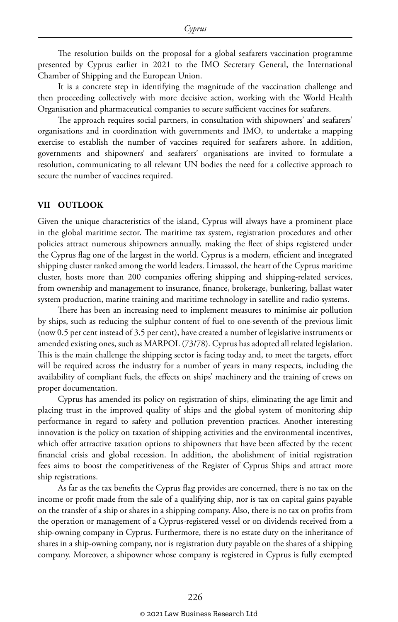The resolution builds on the proposal for a global seafarers vaccination programme presented by Cyprus earlier in 2021 to the IMO Secretary General, the International Chamber of Shipping and the European Union.

It is a concrete step in identifying the magnitude of the vaccination challenge and then proceeding collectively with more decisive action, working with the World Health Organisation and pharmaceutical companies to secure sufficient vaccines for seafarers.

The approach requires social partners, in consultation with shipowners' and seafarers' organisations and in coordination with governments and IMO, to undertake a mapping exercise to establish the number of vaccines required for seafarers ashore. In addition, governments and shipowners' and seafarers' organisations are invited to formulate a resolution, communicating to all relevant UN bodies the need for a collective approach to secure the number of vaccines required.

#### **VII OUTLOOK**

Given the unique characteristics of the island, Cyprus will always have a prominent place in the global maritime sector. The maritime tax system, registration procedures and other policies attract numerous shipowners annually, making the fleet of ships registered under the Cyprus flag one of the largest in the world. Cyprus is a modern, efficient and integrated shipping cluster ranked among the world leaders. Limassol, the heart of the Cyprus maritime cluster, hosts more than 200 companies offering shipping and shipping-related services, from ownership and management to insurance, finance, brokerage, bunkering, ballast water system production, marine training and maritime technology in satellite and radio systems.

There has been an increasing need to implement measures to minimise air pollution by ships, such as reducing the sulphur content of fuel to one-seventh of the previous limit (now 0.5 per cent instead of 3.5 per cent), have created a number of legislative instruments or amended existing ones, such as MARPOL (73/78). Cyprus has adopted all related legislation. This is the main challenge the shipping sector is facing today and, to meet the targets, effort will be required across the industry for a number of years in many respects, including the availability of compliant fuels, the effects on ships' machinery and the training of crews on proper documentation.

Cyprus has amended its policy on registration of ships, eliminating the age limit and placing trust in the improved quality of ships and the global system of monitoring ship performance in regard to safety and pollution prevention practices. Another interesting innovation is the policy on taxation of shipping activities and the environmental incentives, which offer attractive taxation options to shipowners that have been affected by the recent financial crisis and global recession. In addition, the abolishment of initial registration fees aims to boost the competitiveness of the Register of Cyprus Ships and attract more ship registrations.

As far as the tax benefits the Cyprus flag provides are concerned, there is no tax on the income or profit made from the sale of a qualifying ship, nor is tax on capital gains payable on the transfer of a ship or shares in a shipping company. Also, there is no tax on profits from the operation or management of a Cyprus-registered vessel or on dividends received from a ship-owning company in Cyprus. Furthermore, there is no estate duty on the inheritance of shares in a ship-owning company, nor is registration duty payable on the shares of a shipping company. Moreover, a shipowner whose company is registered in Cyprus is fully exempted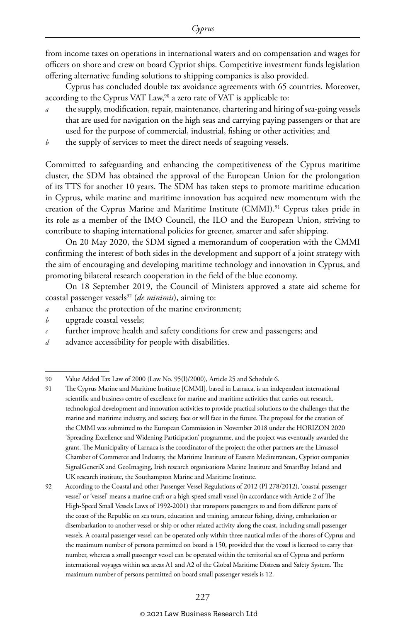from income taxes on operations in international waters and on compensation and wages for officers on shore and crew on board Cypriot ships. Competitive investment funds legislation offering alternative funding solutions to shipping companies is also provided.

Cyprus has concluded double tax avoidance agreements with 65 countries. Moreover, according to the Cyprus VAT Law,<sup>90</sup> a zero rate of VAT is applicable to:

- the supply, modification, repair, maintenance, chartering and hiring of sea-going vessels that are used for navigation on the high seas and carrying paying passengers or that are used for the purpose of commercial, industrial, fishing or other activities; and
- *b* the supply of services to meet the direct needs of seagoing vessels.

Committed to safeguarding and enhancing the competitiveness of the Cyprus maritime cluster, the SDM has obtained the approval of the European Union for the prolongation of its TTS for another 10 years. The SDM has taken steps to promote maritime education in Cyprus, while marine and maritime innovation has acquired new momentum with the creation of the Cyprus Marine and Maritime Institute (CMMI).91 Cyprus takes pride in its role as a member of the IMO Council, the ILO and the European Union, striving to contribute to shaping international policies for greener, smarter and safer shipping.

On 20 May 2020, the SDM signed a memorandum of cooperation with the CMMI confirming the interest of both sides in the development and support of a joint strategy with the aim of encouraging and developing maritime technology and innovation in Cyprus, and promoting bilateral research cooperation in the field of the blue economy.

On 18 September 2019, the Council of Ministers approved a state aid scheme for coastal passenger vessels92 (*de minimis*), aiming to:

- *a* enhance the protection of the marine environment;
- *b* upgrade coastal vessels;
- further improve health and safety conditions for crew and passengers; and
- *d* advance accessibility for people with disabilities.

#### © 2021 Law Business Research Ltd

<sup>90</sup> Value Added Tax Law of 2000 (Law No. 95(I)/2000), Article 25 and Schedule 6.

<sup>91</sup> The Cyprus Marine and Maritime Institute [CMMI], based in Larnaca, is an independent international scientific and business centre of excellence for marine and maritime activities that carries out research, technological development and innovation activities to provide practical solutions to the challenges that the marine and maritime industry, and society, face or will face in the future. The proposal for the creation of the CMMI was submitted to the European Commission in November 2018 under the HORIZON 2020 'Spreading Excellence and Widening Participation' programme, and the project was eventually awarded the grant. The Municipality of Larnaca is the coordinator of the project; the other partners are the Limassol Chamber of Commerce and Industry, the Maritime Institute of Eastern Mediterranean, Cypriot companies SignalGeneriX and GeoImaging, Irish research organisations Marine Institute and SmartBay Ireland and UK research institute, the Southampton Marine and Maritime Institute.

<sup>92</sup> According to the Coastal and other Passenger Vessel Regulations of 2012 (PI 278/2012), 'coastal passenger vessel' or 'vessel' means a marine craft or a high-speed small vessel (in accordance with Article 2 of The High-Speed Small Vessels Laws of 1992-2001) that transports passengers to and from different parts of the coast of the Republic on sea tours, education and training, amateur fishing, diving, embarkation or disembarkation to another vessel or ship or other related activity along the coast, including small passenger vessels. A coastal passenger vessel can be operated only within three nautical miles of the shores of Cyprus and the maximum number of persons permitted on board is 150, provided that the vessel is licensed to carry that number, whereas a small passenger vessel can be operated within the territorial sea of Cyprus and perform international voyages within sea areas A1 and A2 of the Global Maritime Distress and Safety System. The maximum number of persons permitted on board small passenger vessels is 12.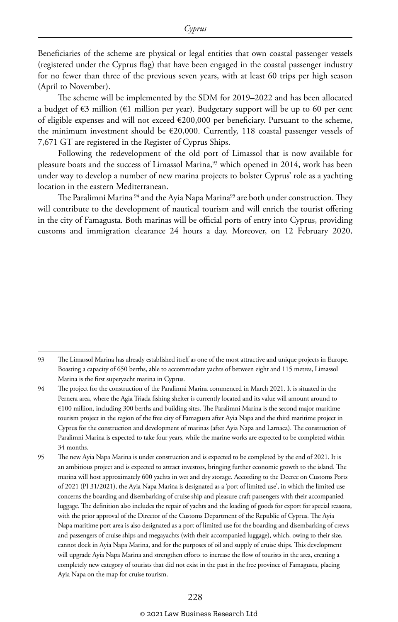Beneficiaries of the scheme are physical or legal entities that own coastal passenger vessels (registered under the Cyprus flag) that have been engaged in the coastal passenger industry for no fewer than three of the previous seven years, with at least 60 trips per high season (April to November).

The scheme will be implemented by the SDM for 2019–2022 and has been allocated a budget of  $\epsilon$ 3 million ( $\epsilon$ 1 million per year). Budgetary support will be up to 60 per cent of eligible expenses and will not exceed €200,000 per beneficiary. Pursuant to the scheme, the minimum investment should be €20,000. Currently, 118 coastal passenger vessels of 7,671 GT are registered in the Register of Cyprus Ships.

Following the redevelopment of the old port of Limassol that is now available for pleasure boats and the success of Limassol Marina,<sup>93</sup> which opened in 2014, work has been under way to develop a number of new marina projects to bolster Cyprus' role as a yachting location in the eastern Mediterranean.

The Paralimni Marina <sup>94</sup> and the Ayia Napa Marina<sup>95</sup> are both under construction. They will contribute to the development of nautical tourism and will enrich the tourist offering in the city of Famagusta. Both marinas will be official ports of entry into Cyprus, providing customs and immigration clearance 24 hours a day. Moreover, on 12 February 2020,

<sup>93</sup> The Limassol Marina has already established itself as one of the most attractive and unique projects in Europe. Boasting a capacity of 650 berths, able to accommodate yachts of between eight and 115 metres, Limassol Marina is the first superyacht marina in Cyprus.

<sup>94</sup> The project for the construction of the Paralimni Marina commenced in March 2021. It is situated in the Pernera area, where the Agia Triada fishing shelter is currently located and its value will amount around to €100 million, including 300 berths and building sites. The Paralimni Marina is the second major maritime tourism project in the region of the free city of Famagusta after Ayia Napa and the third maritime project in Cyprus for the construction and development of marinas (after Ayia Napa and Larnaca). The construction of Paralimni Marina is expected to take four years, while the marine works are expected to be completed within 34 months.

<sup>95</sup> The new Ayia Napa Marina is under construction and is expected to be completed by the end of 2021. It is an ambitious project and is expected to attract investors, bringing further economic growth to the island. The marina will host approximately 600 yachts in wet and dry storage. According to the Decree on Customs Ports of 2021 (PI 31/2021), the Ayia Napa Marina is designated as a 'port of limited use', in which the limited use concerns the boarding and disembarking of cruise ship and pleasure craft passengers with their accompanied luggage. The definition also includes the repair of yachts and the loading of goods for export for special reasons, with the prior approval of the Director of the Customs Department of the Republic of Cyprus. The Ayia Napa maritime port area is also designated as a port of limited use for the boarding and disembarking of crews and passengers of cruise ships and megayachts (with their accompanied luggage), which, owing to their size, cannot dock in Ayia Napa Marina, and for the purposes of oil and supply of cruise ships. This development will upgrade Ayia Napa Marina and strengthen efforts to increase the flow of tourists in the area, creating a completely new category of tourists that did not exist in the past in the free province of Famagusta, placing Ayia Napa on the map for cruise tourism.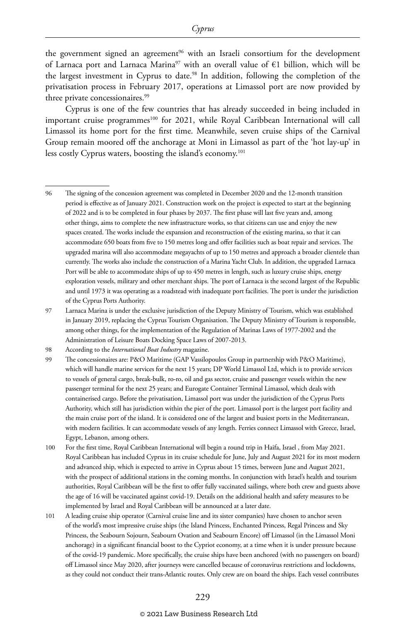the government signed an agreement<sup>96</sup> with an Israeli consortium for the development of Larnaca port and Larnaca Marina<sup>97</sup> with an overall value of  $\epsilon$ 1 billion, which will be the largest investment in Cyprus to date.98 In addition, following the completion of the privatisation process in February 2017, operations at Limassol port are now provided by three private concessionaires.<sup>99</sup>

Cyprus is one of the few countries that has already succeeded in being included in important cruise programmes<sup>100</sup> for 2021, while Royal Caribbean International will call Limassol its home port for the first time. Meanwhile, seven cruise ships of the Carnival Group remain moored off the anchorage at Moni in Limassol as part of the 'hot lay-up' in less costly Cyprus waters, boosting the island's economy.101

#### © 2021 Law Business Research Ltd

<sup>96</sup> The signing of the concession agreement was completed in December 2020 and the 12-month transition period is effective as of January 2021. Construction work on the project is expected to start at the beginning of 2022 and is to be completed in four phases by 2037. The first phase will last five years and, among other things, aims to complete the new infrastructure works, so that citizens can use and enjoy the new spaces created. The works include the expansion and reconstruction of the existing marina, so that it can accommodate 650 boats from five to 150 metres long and offer facilities such as boat repair and services. The upgraded marina will also accommodate megayachts of up to 150 metres and approach a broader clientele than currently. The works also include the construction of a Marina Yacht Club. In addition, the upgraded Larnaca Port will be able to accommodate ships of up to 450 metres in length, such as luxury cruise ships, energy exploration vessels, military and other merchant ships. The port of Larnaca is the second largest of the Republic and until 1973 it was operating as a roadstead with inadequate port facilities. The port is under the jurisdiction of the Cyprus Ports Authority.

<sup>97</sup> Larnaca Marina is under the exclusive jurisdiction of the Deputy Ministry of Tourism, which was established in January 2019, replacing the Cyprus Tourism Organisation. The Deputy Ministry of Tourism is responsible, among other things, for the implementation of the Regulation of Marinas Laws of 1977-2002 and the Administration of Leisure Boats Docking Space Laws of 2007-2013.

<sup>98</sup> According to the *International Boat Industry* magazine.

<sup>99</sup> The concessionaires are: P&O Maritime (GAP Vassilopoulos Group in partnership with P&O Maritime), which will handle marine services for the next 15 years; DP World Limassol Ltd, which is to provide services to vessels of general cargo, break-bulk, ro-ro, oil and gas sector, cruise and passenger vessels within the new passenger terminal for the next 25 years; and Eurogate Container Terminal Limassol, which deals with containerised cargo. Before the privatisation, Limassol port was under the jurisdiction of the Cyprus Ports Authority, which still has jurisdiction within the pier of the port. Limassol port is the largest port facility and the main cruise port of the island. It is considered one of the largest and busiest ports in the Mediterranean, with modern facilities. It can accommodate vessels of any length. Ferries connect Limassol with Greece, Israel, Egypt, Lebanon, among others.

<sup>100</sup> For the first time, Royal Caribbean International will begin a round trip in Haifa, Israel , from May 2021. Royal Caribbean has included Cyprus in its cruise schedule for June, July and August 2021 for its most modern and advanced ship, which is expected to arrive in Cyprus about 15 times, between June and August 2021, with the prospect of additional stations in the coming months. In conjunction with Israel's health and tourism authorities, Royal Caribbean will be the first to offer fully vaccinated sailings, where both crew and guests above the age of 16 will be vaccinated against covid-19. Details on the additional health and safety measures to be implemented by Israel and Royal Caribbean will be announced at a later date.

<sup>101</sup> A leading cruise ship operator (Carnival cruise line and its sister companies) have chosen to anchor seven of the world's most impressive cruise ships (the Island Princess, Enchanted Princess, Regal Princess and Sky Princess, the Seabourn Sojourn, Seabourn Ovation and Seabourn Encore) off Limassol (in the Limassol Moni anchorage) in a significant financial boost to the Cypriot economy, at a time when it is under pressure because of the covid-19 pandemic. More specifically, the cruise ships have been anchored (with no passengers on board) off Limassol since May 2020, after journeys were cancelled because of coronavirus restrictions and lockdowns, as they could not conduct their trans-Atlantic routes. Only crew are on board the ships. Each vessel contributes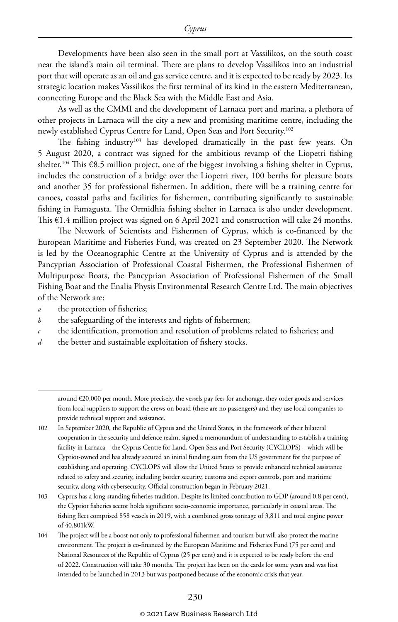Developments have been also seen in the small port at Vassilikos, on the south coast near the island's main oil terminal. There are plans to develop Vassilikos into an industrial port that will operate as an oil and gas service centre, and it is expected to be ready by 2023. Its strategic location makes Vassilikos the first terminal of its kind in the eastern Mediterranean, connecting Europe and the Black Sea with the Middle East and Asia.

As well as the CMMI and the development of Larnaca port and marina, a plethora of other projects in Larnaca will the city a new and promising maritime centre, including the newly established Cyprus Centre for Land, Open Seas and Port Security.102

The fishing industry<sup>103</sup> has developed dramatically in the past few years. On 5 August 2020, a contract was signed for the ambitious revamp of the Liopetri fishing shelter.<sup>104</sup> This  $\epsilon$ 8.5 million project, one of the biggest involving a fishing shelter in Cyprus, includes the construction of a bridge over the Liopetri river, 100 berths for pleasure boats and another 35 for professional fishermen. In addition, there will be a training centre for canoes, coastal paths and facilities for fishermen, contributing significantly to sustainable fishing in Famagusta. The Ormidhia fishing shelter in Larnaca is also under development. This  $E1.4$  million project was signed on 6 April 2021 and construction will take 24 months.

The Network of Scientists and Fishermen of Cyprus, which is co-financed by the European Maritime and Fisheries Fund, was created on 23 September 2020. The Network is led by the Oceanographic Centre at the University of Cyprus and is attended by the Pancyprian Association of Professional Coastal Fishermen, the Professional Fishermen of Multipurpose Boats, the Pancyprian Association of Professional Fishermen of the Small Fishing Boat and the Enalia Physis Environmental Research Centre Ltd. The main objectives of the Network are:

*a* the protection of fisheries;

- *b* the safeguarding of the interests and rights of fishermen;
- *c* the identification, promotion and resolution of problems related to fisheries; and
- *d* the better and sustainable exploitation of fishery stocks.

around €20,000 per month. More precisely, the vessels pay fees for anchorage, they order goods and services from local suppliers to support the crews on board (there are no passengers) and they use local companies to provide technical support and assistance.

<sup>102</sup> In September 2020, the Republic of Cyprus and the United States, in the framework of their bilateral cooperation in the security and defence realm, signed a memorandum of understanding to establish a training facility in Larnaca – the Cyprus Centre for Land, Open Seas and Port Security (CYCLOPS) – which will be Cypriot-owned and has already secured an initial funding sum from the US government for the purpose of establishing and operating. CYCLOPS will allow the United States to provide enhanced technical assistance related to safety and security, including border security, customs and export controls, port and maritime security, along with cybersecurity. Official construction began in February 2021.

<sup>103</sup> Cyprus has a long-standing fisheries tradition. Despite its limited contribution to GDP (around 0.8 per cent), the Cypriot fisheries sector holds significant socio-economic importance, particularly in coastal areas. The fishing fleet comprised 858 vessels in 2019, with a combined gross tonnage of 3,811 and total engine power of 40,801kW.

<sup>104</sup> The project will be a boost not only to professional fishermen and tourism but will also protect the marine environment. The project is co-financed by the European Maritime and Fisheries Fund (75 per cent) and National Resources of the Republic of Cyprus (25 per cent) and it is expected to be ready before the end of 2022. Construction will take 30 months. The project has been on the cards for some years and was first intended to be launched in 2013 but was postponed because of the economic crisis that year.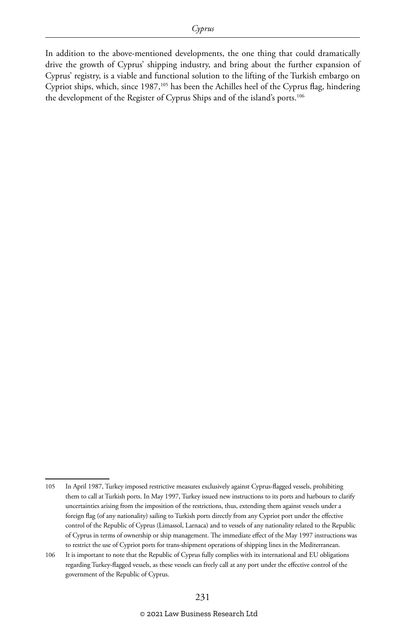In addition to the above-mentioned developments, the one thing that could dramatically drive the growth of Cyprus' shipping industry, and bring about the further expansion of Cyprus' registry, is a viable and functional solution to the lifting of the Turkish embargo on Cypriot ships, which, since 1987,105 has been the Achilles heel of the Cyprus flag, hindering the development of the Register of Cyprus Ships and of the island's ports.<sup>106</sup>

<sup>105</sup> In April 1987, Turkey imposed restrictive measures exclusively against Cyprus-flagged vessels, prohibiting them to call at Turkish ports. In May 1997, Turkey issued new instructions to its ports and harbours to clarify uncertainties arising from the imposition of the restrictions, thus, extending them against vessels under a foreign flag (of any nationality) sailing to Turkish ports directly from any Cypriot port under the effective control of the Republic of Cyprus (Limassol, Larnaca) and to vessels of any nationality related to the Republic of Cyprus in terms of ownership or ship management. The immediate effect of the May 1997 instructions was to restrict the use of Cypriot ports for trans-shipment operations of shipping lines in the Mediterranean.

<sup>106</sup> It is important to note that the Republic of Cyprus fully complies with its international and EU obligations regarding Turkey-flagged vessels, as these vessels can freely call at any port under the effective control of the government of the Republic of Cyprus.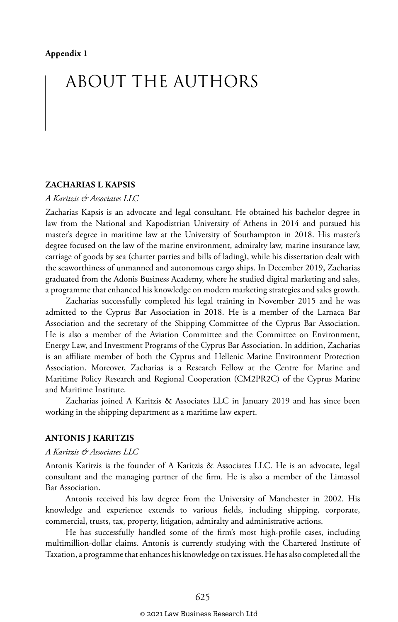## ABOUT THE AUTHORS

#### **ZACHARIAS L KAPSIS**

#### *A Karitzis & Associates LLC*

Zacharias Kapsis is an advocate and legal consultant. He obtained his bachelor degree in law from the National and Kapodistrian University of Athens in 2014 and pursued his master's degree in maritime law at the University of Southampton in 2018. His master's degree focused on the law of the marine environment, admiralty law, marine insurance law, carriage of goods by sea (charter parties and bills of lading), while his dissertation dealt with the seaworthiness of unmanned and autonomous cargo ships. In December 2019, Zacharias graduated from the Adonis Business Academy, where he studied digital marketing and sales, a programme that enhanced his knowledge on modern marketing strategies and sales growth.

Zacharias successfully completed his legal training in November 2015 and he was admitted to the Cyprus Bar Association in 2018. He is a member of the Larnaca Bar Association and the secretary of the Shipping Committee of the Cyprus Bar Association. He is also a member of the Aviation Committee and the Committee on Environment, Energy Law, and Investment Programs of the Cyprus Bar Association. In addition, Zacharias is an affiliate member of both the Cyprus and Hellenic Marine Environment Protection Association. Moreover, Zacharias is a Research Fellow at the Centre for Marine and Maritime Policy Research and Regional Cooperation (CM2PR2C) of the Cyprus Marine and Maritime Institute.

Zacharias joined A Karitzis & Associates LLC in January 2019 and has since been working in the shipping department as a maritime law expert.

#### **ANTONIS J KARITZIS**

#### *A Karitzis & Associates LLC*

Antonis Karitzis is the founder of A Karitzis & Associates LLC. He is an advocate, legal consultant and the managing partner of the firm. He is also a member of the Limassol Bar Association.

Antonis received his law degree from the University of Manchester in 2002. His knowledge and experience extends to various fields, including shipping, corporate, commercial, trusts, tax, property, litigation, admiralty and administrative actions.

He has successfully handled some of the firm's most high-profile cases, including multimillion-dollar claims. Antonis is currently studying with the Chartered Institute of Taxation, a programme that enhances his knowledge on tax issues. He has also completed all the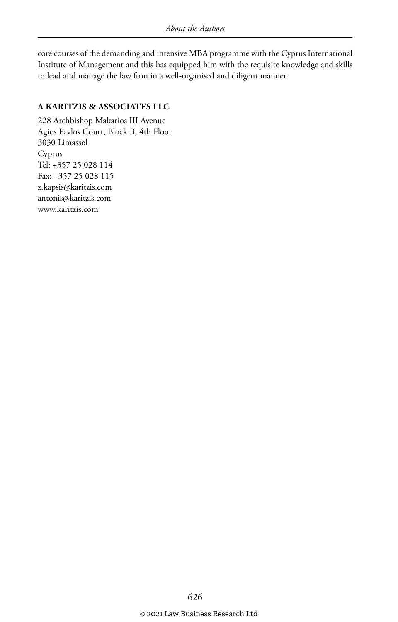core courses of the demanding and intensive MBA programme with the Cyprus International Institute of Management and this has equipped him with the requisite knowledge and skills to lead and manage the law firm in a well-organised and diligent manner.

#### **A KARITZIS & ASSOCIATES LLC**

228 Archbishop Makarios III Avenue Agios Pavlos Court, Block B, 4th Floor 3030 Limassol Cyprus Tel: +357 25 028 114 Fax: +357 25 028 115 z.kapsis@karitzis.com antonis@karitzis.com www.karitzis.com